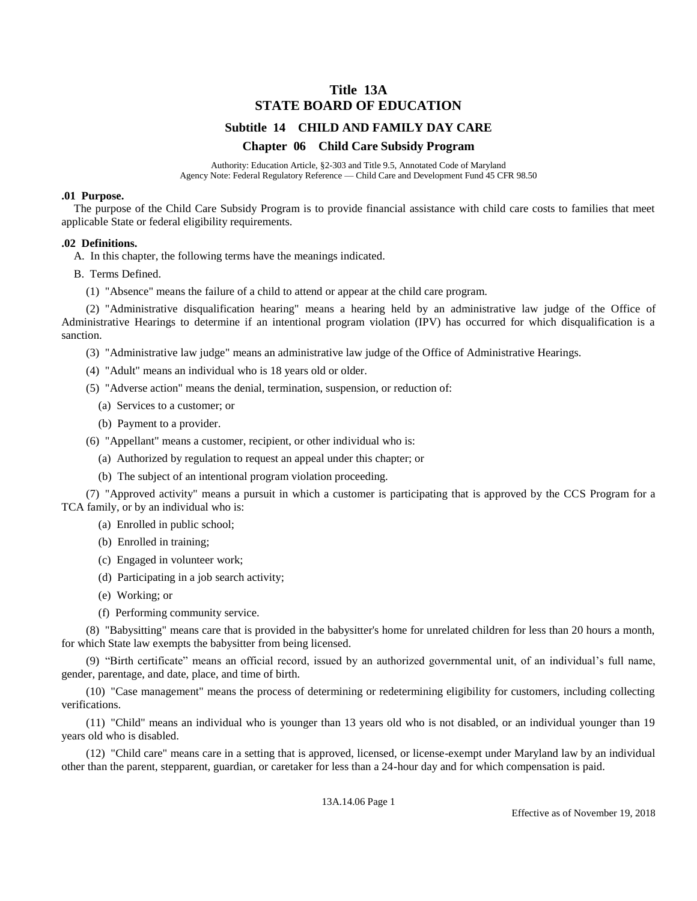# **Title 13A STATE BOARD OF EDUCATION**

# **Subtitle 14 CHILD AND FAMILY DAY CARE**

#### **Chapter 06 Child Care Subsidy Program**

Authority: Education Article, §2-303 and Title 9.5, Annotated Code of Maryland Agency Note: Federal Regulatory Reference — Child Care and Development Fund 45 CFR 98.50

#### **.01 Purpose.**

The purpose of the Child Care Subsidy Program is to provide financial assistance with child care costs to families that meet applicable State or federal eligibility requirements.

#### **.02 Definitions.**

A. In this chapter, the following terms have the meanings indicated.

B. Terms Defined.

(1) "Absence" means the failure of a child to attend or appear at the child care program.

(2) "Administrative disqualification hearing" means a hearing held by an administrative law judge of the Office of Administrative Hearings to determine if an intentional program violation (IPV) has occurred for which disqualification is a sanction.

(3) "Administrative law judge" means an administrative law judge of the Office of Administrative Hearings.

- (4) "Adult" means an individual who is 18 years old or older.
- (5) "Adverse action" means the denial, termination, suspension, or reduction of:
	- (a) Services to a customer; or
	- (b) Payment to a provider.
- (6) "Appellant" means a customer, recipient, or other individual who is:
	- (a) Authorized by regulation to request an appeal under this chapter; or
	- (b) The subject of an intentional program violation proceeding.

(7) "Approved activity" means a pursuit in which a customer is participating that is approved by the CCS Program for a TCA family, or by an individual who is:

- (a) Enrolled in public school;
- (b) Enrolled in training;
- (c) Engaged in volunteer work;
- (d) Participating in a job search activity;
- (e) Working; or
- (f) Performing community service.

(8) "Babysitting" means care that is provided in the babysitter's home for unrelated children for less than 20 hours a month, for which State law exempts the babysitter from being licensed.

(9) "Birth certificate" means an official record, issued by an authorized governmental unit, of an individual's full name, gender, parentage, and date, place, and time of birth.

(10) "Case management" means the process of determining or redetermining eligibility for customers, including collecting verifications.

(11) "Child" means an individual who is younger than 13 years old who is not disabled, or an individual younger than 19 years old who is disabled.

(12) "Child care" means care in a setting that is approved, licensed, or license-exempt under Maryland law by an individual other than the parent, stepparent, guardian, or caretaker for less than a 24-hour day and for which compensation is paid.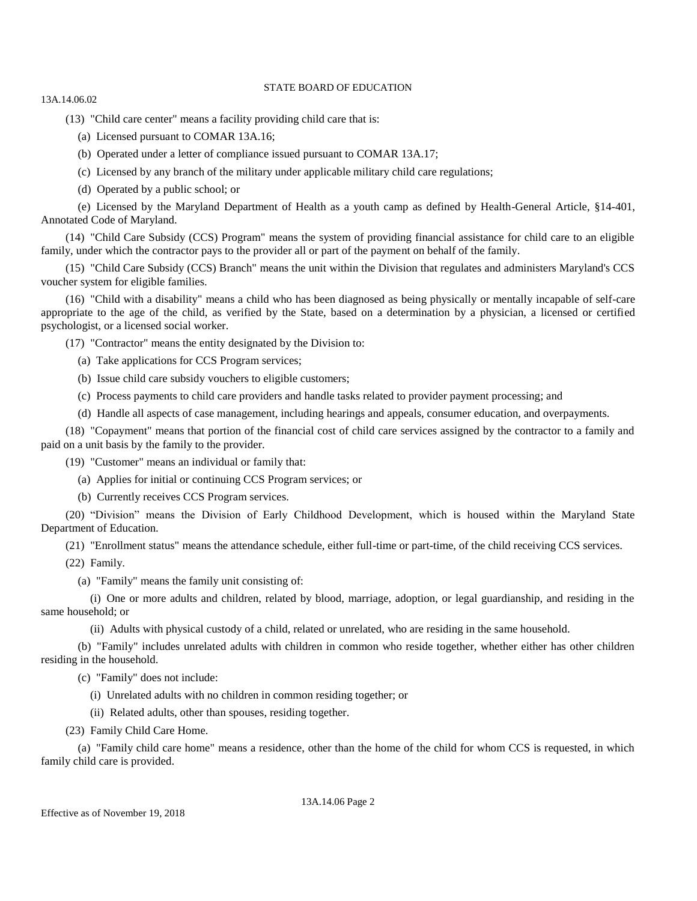13A.14.06.02

(13) "Child care center" means a facility providing child care that is:

- (a) Licensed pursuant to COMAR 13A.16;
- (b) Operated under a letter of compliance issued pursuant to COMAR 13A.17;
- (c) Licensed by any branch of the military under applicable military child care regulations;
- (d) Operated by a public school; or

(e) Licensed by the Maryland Department of Health as a youth camp as defined by Health-General Article, §14-401, Annotated Code of Maryland.

(14) "Child Care Subsidy (CCS) Program" means the system of providing financial assistance for child care to an eligible family, under which the contractor pays to the provider all or part of the payment on behalf of the family.

(15) "Child Care Subsidy (CCS) Branch" means the unit within the Division that regulates and administers Maryland's CCS voucher system for eligible families.

(16) "Child with a disability" means a child who has been diagnosed as being physically or mentally incapable of self-care appropriate to the age of the child, as verified by the State, based on a determination by a physician, a licensed or certified psychologist, or a licensed social worker.

(17) "Contractor" means the entity designated by the Division to:

- (a) Take applications for CCS Program services;
- (b) Issue child care subsidy vouchers to eligible customers;
- (c) Process payments to child care providers and handle tasks related to provider payment processing; and
- (d) Handle all aspects of case management, including hearings and appeals, consumer education, and overpayments.

(18) "Copayment" means that portion of the financial cost of child care services assigned by the contractor to a family and paid on a unit basis by the family to the provider.

(19) "Customer" means an individual or family that:

(a) Applies for initial or continuing CCS Program services; or

(b) Currently receives CCS Program services.

(20) "Division" means the Division of Early Childhood Development, which is housed within the Maryland State Department of Education.

(21) "Enrollment status" means the attendance schedule, either full-time or part-time, of the child receiving CCS services.

(22) Family.

(a) "Family" means the family unit consisting of:

(i) One or more adults and children, related by blood, marriage, adoption, or legal guardianship, and residing in the same household; or

(ii) Adults with physical custody of a child, related or unrelated, who are residing in the same household.

(b) "Family" includes unrelated adults with children in common who reside together, whether either has other children residing in the household.

- (c) "Family" does not include:
	- (i) Unrelated adults with no children in common residing together; or
	- (ii) Related adults, other than spouses, residing together.
- (23) Family Child Care Home.

(a) "Family child care home" means a residence, other than the home of the child for whom CCS is requested, in which family child care is provided.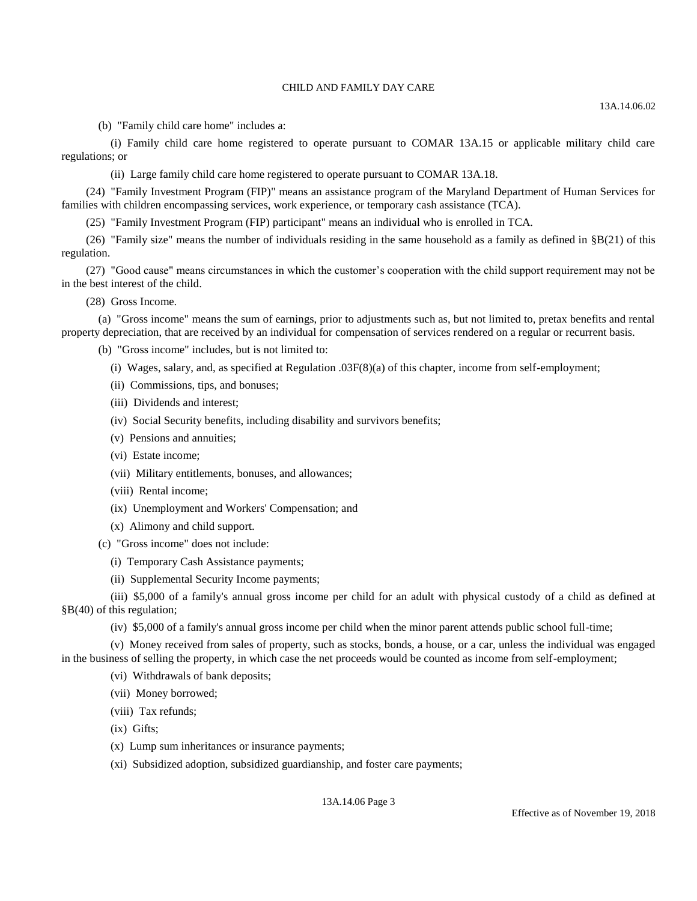(b) "Family child care home" includes a:

(i) Family child care home registered to operate pursuant to COMAR 13A.15 or applicable military child care regulations; or

(ii) Large family child care home registered to operate pursuant to COMAR 13A.18.

(24) "Family Investment Program (FIP)" means an assistance program of the Maryland Department of Human Services for families with children encompassing services, work experience, or temporary cash assistance (TCA).

(25) "Family Investment Program (FIP) participant" means an individual who is enrolled in TCA.

(26) "Family size" means the number of individuals residing in the same household as a family as defined in  $\S$ B(21) of this regulation.

(27) "Good cause" means circumstances in which the customer's cooperation with the child support requirement may not be in the best interest of the child.

(28) Gross Income.

(a) "Gross income" means the sum of earnings, prior to adjustments such as, but not limited to, pretax benefits and rental property depreciation, that are received by an individual for compensation of services rendered on a regular or recurrent basis.

(b) "Gross income" includes, but is not limited to:

- (i) Wages, salary, and, as specified at Regulation .03F(8)(a) of this chapter, income from self-employment;
- (ii) Commissions, tips, and bonuses;
- (iii) Dividends and interest;
- (iv) Social Security benefits, including disability and survivors benefits;
- (v) Pensions and annuities;
- (vi) Estate income;
- (vii) Military entitlements, bonuses, and allowances;
- (viii) Rental income;
- (ix) Unemployment and Workers' Compensation; and
- (x) Alimony and child support.
- (c) "Gross income" does not include:
	- (i) Temporary Cash Assistance payments;
	- (ii) Supplemental Security Income payments;

(iii) \$5,000 of a family's annual gross income per child for an adult with physical custody of a child as defined at §B(40) of this regulation;

(iv) \$5,000 of a family's annual gross income per child when the minor parent attends public school full-time;

(v) Money received from sales of property, such as stocks, bonds, a house, or a car, unless the individual was engaged in the business of selling the property, in which case the net proceeds would be counted as income from self-employment;

- (vi) Withdrawals of bank deposits;
- (vii) Money borrowed;
- (viii) Tax refunds;
- (ix) Gifts;
- (x) Lump sum inheritances or insurance payments;
- (xi) Subsidized adoption, subsidized guardianship, and foster care payments;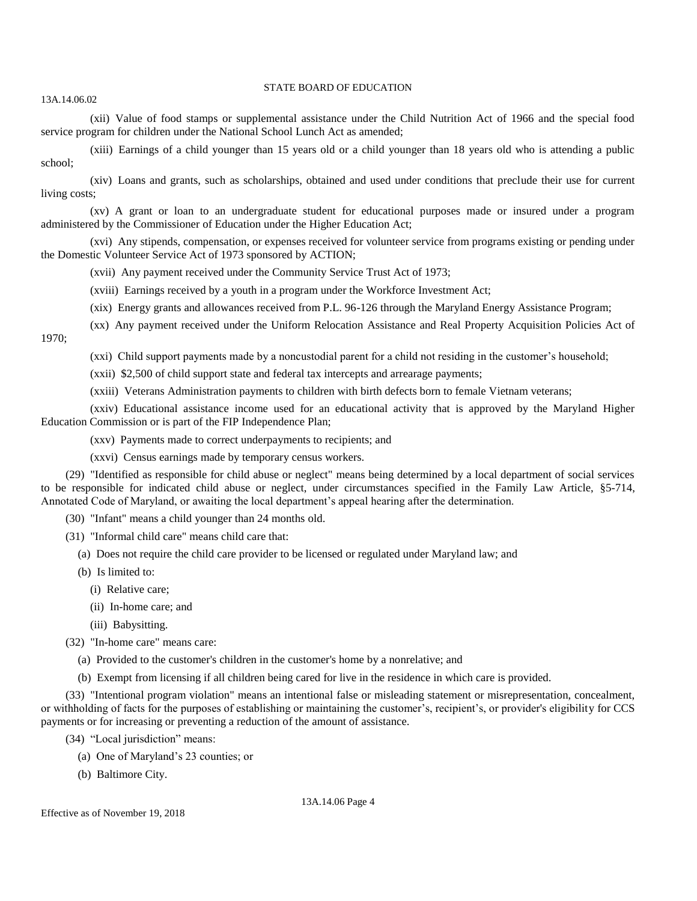13A.14.06.02

(xii) Value of food stamps or supplemental assistance under the Child Nutrition Act of 1966 and the special food service program for children under the National School Lunch Act as amended;

(xiii) Earnings of a child younger than 15 years old or a child younger than 18 years old who is attending a public school;

(xiv) Loans and grants, such as scholarships, obtained and used under conditions that preclude their use for current living costs;

(xv) A grant or loan to an undergraduate student for educational purposes made or insured under a program administered by the Commissioner of Education under the Higher Education Act;

(xvi) Any stipends, compensation, or expenses received for volunteer service from programs existing or pending under the Domestic Volunteer Service Act of 1973 sponsored by ACTION;

- (xvii) Any payment received under the Community Service Trust Act of 1973;
- (xviii) Earnings received by a youth in a program under the Workforce Investment Act;
- (xix) Energy grants and allowances received from P.L. 96-126 through the Maryland Energy Assistance Program;
- (xx) Any payment received under the Uniform Relocation Assistance and Real Property Acquisition Policies Act of 1970;
	- (xxi) Child support payments made by a noncustodial parent for a child not residing in the customer's household;
	- (xxii) \$2,500 of child support state and federal tax intercepts and arrearage payments;
	- (xxiii) Veterans Administration payments to children with birth defects born to female Vietnam veterans;

(xxiv) Educational assistance income used for an educational activity that is approved by the Maryland Higher Education Commission or is part of the FIP Independence Plan;

- (xxv) Payments made to correct underpayments to recipients; and
- (xxvi) Census earnings made by temporary census workers.

(29) "Identified as responsible for child abuse or neglect" means being determined by a local department of social services to be responsible for indicated child abuse or neglect, under circumstances specified in the Family Law Article, §5-714, Annotated Code of Maryland, or awaiting the local department's appeal hearing after the determination.

(30) "Infant" means a child younger than 24 months old.

- (31) "Informal child care" means child care that:
	- (a) Does not require the child care provider to be licensed or regulated under Maryland law; and
	- (b) Is limited to:
		- (i) Relative care;
		- (ii) In-home care; and
		- (iii) Babysitting.
- (32) "In-home care" means care:
	- (a) Provided to the customer's children in the customer's home by a nonrelative; and
	- (b) Exempt from licensing if all children being cared for live in the residence in which care is provided.

(33) "Intentional program violation" means an intentional false or misleading statement or misrepresentation, concealment, or withholding of facts for the purposes of establishing or maintaining the customer's, recipient's, or provider's eligibility for CCS payments or for increasing or preventing a reduction of the amount of assistance.

- (34) "Local jurisdiction" means:
	- (a) One of Maryland's 23 counties; or
	- (b) Baltimore City.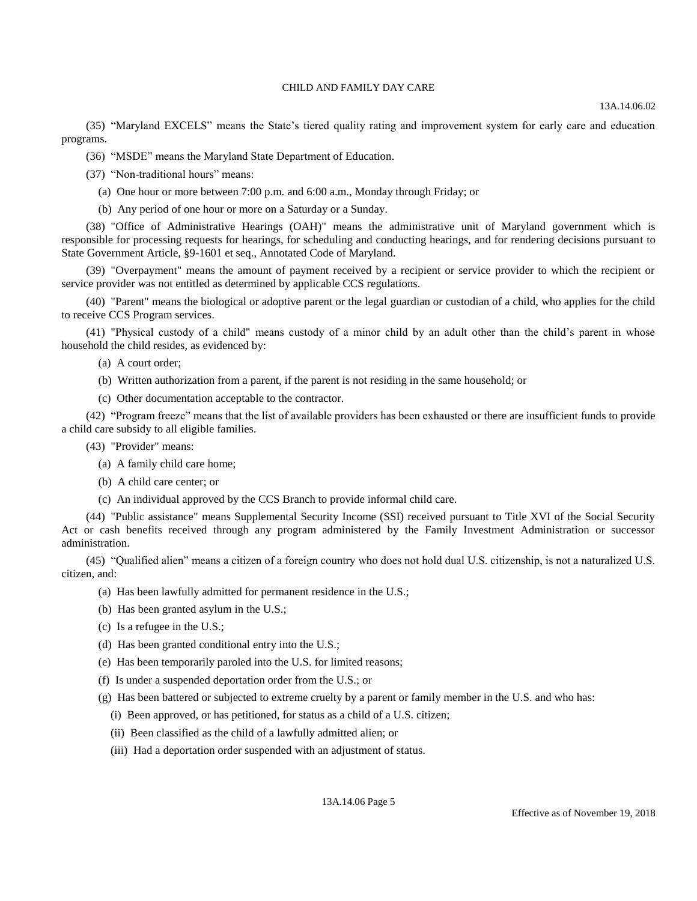13A.14.06.02

(35) "Maryland EXCELS" means the State's tiered quality rating and improvement system for early care and education programs.

(36) "MSDE" means the Maryland State Department of Education.

(37) "Non-traditional hours" means:

(a) One hour or more between 7:00 p.m. and 6:00 a.m., Monday through Friday; or

(b) Any period of one hour or more on a Saturday or a Sunday.

(38) "Office of Administrative Hearings (OAH)" means the administrative unit of Maryland government which is responsible for processing requests for hearings, for scheduling and conducting hearings, and for rendering decisions pursuant to State Government Article, §9-1601 et seq., Annotated Code of Maryland.

(39) "Overpayment" means the amount of payment received by a recipient or service provider to which the recipient or service provider was not entitled as determined by applicable CCS regulations.

(40) "Parent" means the biological or adoptive parent or the legal guardian or custodian of a child, who applies for the child to receive CCS Program services.

(41) "Physical custody of a child" means custody of a minor child by an adult other than the child's parent in whose household the child resides, as evidenced by:

- (a) A court order;
- (b) Written authorization from a parent, if the parent is not residing in the same household; or
- (c) Other documentation acceptable to the contractor.

(42) "Program freeze" means that the list of available providers has been exhausted or there are insufficient funds to provide a child care subsidy to all eligible families.

(43) "Provider" means:

- (a) A family child care home;
- (b) A child care center; or
- (c) An individual approved by the CCS Branch to provide informal child care.

(44) "Public assistance" means Supplemental Security Income (SSI) received pursuant to Title XVI of the Social Security Act or cash benefits received through any program administered by the Family Investment Administration or successor administration.

(45) "Qualified alien" means a citizen of a foreign country who does not hold dual U.S. citizenship, is not a naturalized U.S. citizen, and:

- (a) Has been lawfully admitted for permanent residence in the U.S.;
- (b) Has been granted asylum in the U.S.;
- (c) Is a refugee in the U.S.;
- (d) Has been granted conditional entry into the U.S.;
- (e) Has been temporarily paroled into the U.S. for limited reasons;
- (f) Is under a suspended deportation order from the U.S.; or

(g) Has been battered or subjected to extreme cruelty by a parent or family member in the U.S. and who has:

- (i) Been approved, or has petitioned, for status as a child of a U.S. citizen;
- (ii) Been classified as the child of a lawfully admitted alien; or
- (iii) Had a deportation order suspended with an adjustment of status.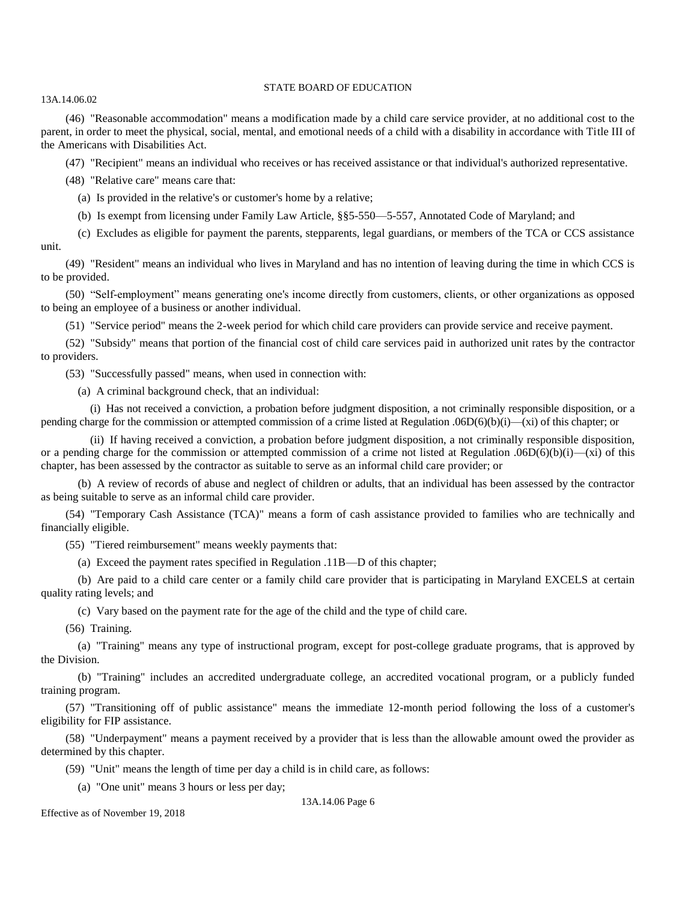13A.14.06.02

(46) "Reasonable accommodation" means a modification made by a child care service provider, at no additional cost to the parent, in order to meet the physical, social, mental, and emotional needs of a child with a disability in accordance with Title III of the Americans with Disabilities Act.

(47) "Recipient" means an individual who receives or has received assistance or that individual's authorized representative.

(48) "Relative care" means care that:

(a) Is provided in the relative's or customer's home by a relative;

(b) Is exempt from licensing under Family Law Article, §§5-550—5-557, Annotated Code of Maryland; and

(c) Excludes as eligible for payment the parents, stepparents, legal guardians, or members of the TCA or CCS assistance unit.

(49) "Resident" means an individual who lives in Maryland and has no intention of leaving during the time in which CCS is to be provided.

(50) "Self-employment" means generating one's income directly from customers, clients, or other organizations as opposed to being an employee of a business or another individual.

(51) "Service period" means the 2-week period for which child care providers can provide service and receive payment.

(52) "Subsidy" means that portion of the financial cost of child care services paid in authorized unit rates by the contractor to providers.

(53) "Successfully passed" means, when used in connection with:

(a) A criminal background check, that an individual:

(i) Has not received a conviction, a probation before judgment disposition, a not criminally responsible disposition, or a pending charge for the commission or attempted commission of a crime listed at Regulation .06D(6)(b)(i)—(xi) of this chapter; or

(ii) If having received a conviction, a probation before judgment disposition, a not criminally responsible disposition, or a pending charge for the commission or attempted commission of a crime not listed at Regulation .06D(6)(b)(i)—(xi) of this chapter, has been assessed by the contractor as suitable to serve as an informal child care provider; or

(b) A review of records of abuse and neglect of children or adults, that an individual has been assessed by the contractor as being suitable to serve as an informal child care provider.

(54) "Temporary Cash Assistance (TCA)" means a form of cash assistance provided to families who are technically and financially eligible.

(55) "Tiered reimbursement" means weekly payments that:

(a) Exceed the payment rates specified in Regulation .11B—D of this chapter;

(b) Are paid to a child care center or a family child care provider that is participating in Maryland EXCELS at certain quality rating levels; and

(c) Vary based on the payment rate for the age of the child and the type of child care.

(56) Training.

(a) "Training" means any type of instructional program, except for post-college graduate programs, that is approved by the Division.

(b) "Training" includes an accredited undergraduate college, an accredited vocational program, or a publicly funded training program.

(57) "Transitioning off of public assistance" means the immediate 12-month period following the loss of a customer's eligibility for FIP assistance.

(58) "Underpayment" means a payment received by a provider that is less than the allowable amount owed the provider as determined by this chapter.

(59) "Unit" means the length of time per day a child is in child care, as follows:

(a) "One unit" means 3 hours or less per day;

13A.14.06 Page 6

Effective as of November 19, 2018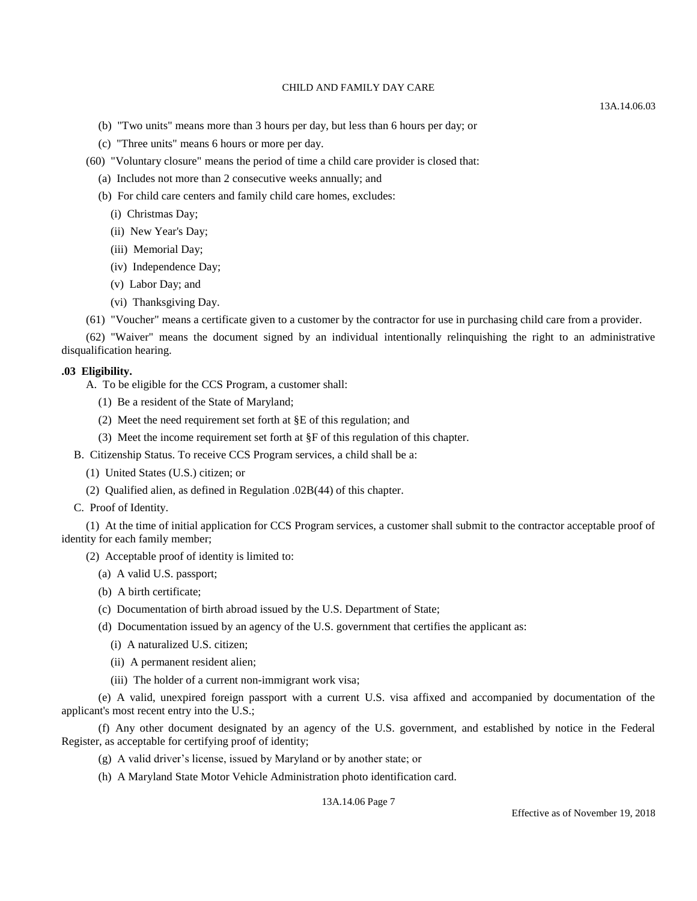- (b) "Two units" means more than 3 hours per day, but less than 6 hours per day; or
- (c) "Three units" means 6 hours or more per day.
- (60) "Voluntary closure" means the period of time a child care provider is closed that:
	- (a) Includes not more than 2 consecutive weeks annually; and
	- (b) For child care centers and family child care homes, excludes:
		- (i) Christmas Day;
		- (ii) New Year's Day;
		- (iii) Memorial Day;
		- (iv) Independence Day;
		- (v) Labor Day; and
		- (vi) Thanksgiving Day.
- (61) "Voucher" means a certificate given to a customer by the contractor for use in purchasing child care from a provider.

(62) "Waiver" means the document signed by an individual intentionally relinquishing the right to an administrative disqualification hearing.

## **.03 Eligibility.**

- A. To be eligible for the CCS Program, a customer shall:
	- (1) Be a resident of the State of Maryland;
	- (2) Meet the need requirement set forth at §E of this regulation; and
	- (3) Meet the income requirement set forth at §F of this regulation of this chapter.
- B. Citizenship Status. To receive CCS Program services, a child shall be a:
	- (1) United States (U.S.) citizen; or
	- (2) Qualified alien, as defined in Regulation .02B(44) of this chapter.

### C. Proof of Identity.

(1) At the time of initial application for CCS Program services, a customer shall submit to the contractor acceptable proof of identity for each family member;

- (2) Acceptable proof of identity is limited to:
	- (a) A valid U.S. passport;
	- (b) A birth certificate;
	- (c) Documentation of birth abroad issued by the U.S. Department of State;
	- (d) Documentation issued by an agency of the U.S. government that certifies the applicant as:
		- (i) A naturalized U.S. citizen;
		- (ii) A permanent resident alien;
		- (iii) The holder of a current non-immigrant work visa;

(e) A valid, unexpired foreign passport with a current U.S. visa affixed and accompanied by documentation of the applicant's most recent entry into the U.S.;

(f) Any other document designated by an agency of the U.S. government, and established by notice in the Federal Register, as acceptable for certifying proof of identity;

- (g) A valid driver's license, issued by Maryland or by another state; or
- (h) A Maryland State Motor Vehicle Administration photo identification card.

13A.14.06 Page 7

#### 13A.14.06.03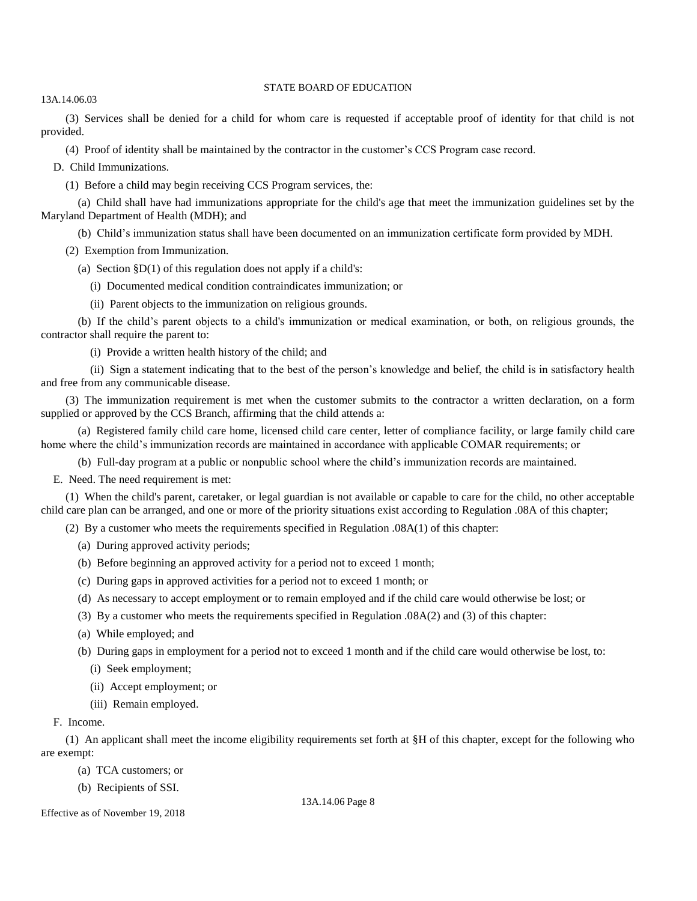13A.14.06.03

(3) Services shall be denied for a child for whom care is requested if acceptable proof of identity for that child is not provided.

(4) Proof of identity shall be maintained by the contractor in the customer's CCS Program case record.

D. Child Immunizations.

(1) Before a child may begin receiving CCS Program services, the:

(a) Child shall have had immunizations appropriate for the child's age that meet the immunization guidelines set by the Maryland Department of Health (MDH); and

(b) Child's immunization status shall have been documented on an immunization certificate form provided by MDH.

(2) Exemption from Immunization.

(a) Section  $$D(1)$  of this regulation does not apply if a child's:

(i) Documented medical condition contraindicates immunization; or

(ii) Parent objects to the immunization on religious grounds.

(b) If the child's parent objects to a child's immunization or medical examination, or both, on religious grounds, the contractor shall require the parent to:

(i) Provide a written health history of the child; and

(ii) Sign a statement indicating that to the best of the person's knowledge and belief, the child is in satisfactory health and free from any communicable disease.

(3) The immunization requirement is met when the customer submits to the contractor a written declaration, on a form supplied or approved by the CCS Branch, affirming that the child attends a:

(a) Registered family child care home, licensed child care center, letter of compliance facility, or large family child care home where the child's immunization records are maintained in accordance with applicable COMAR requirements; or

(b) Full-day program at a public or nonpublic school where the child's immunization records are maintained.

E. Need. The need requirement is met:

(1) When the child's parent, caretaker, or legal guardian is not available or capable to care for the child, no other acceptable child care plan can be arranged, and one or more of the priority situations exist according to Regulation .08A of this chapter;

(2) By a customer who meets the requirements specified in Regulation .08A(1) of this chapter:

- (a) During approved activity periods;
- (b) Before beginning an approved activity for a period not to exceed 1 month;
- (c) During gaps in approved activities for a period not to exceed 1 month; or
- (d) As necessary to accept employment or to remain employed and if the child care would otherwise be lost; or
- (3) By a customer who meets the requirements specified in Regulation .08A(2) and (3) of this chapter:
- (a) While employed; and
- (b) During gaps in employment for a period not to exceed 1 month and if the child care would otherwise be lost, to:
	- (i) Seek employment;
	- (ii) Accept employment; or
	- (iii) Remain employed.

## F. Income.

(1) An applicant shall meet the income eligibility requirements set forth at §H of this chapter, except for the following who are exempt:

(a) TCA customers; or

(b) Recipients of SSI.

Effective as of November 19, 2018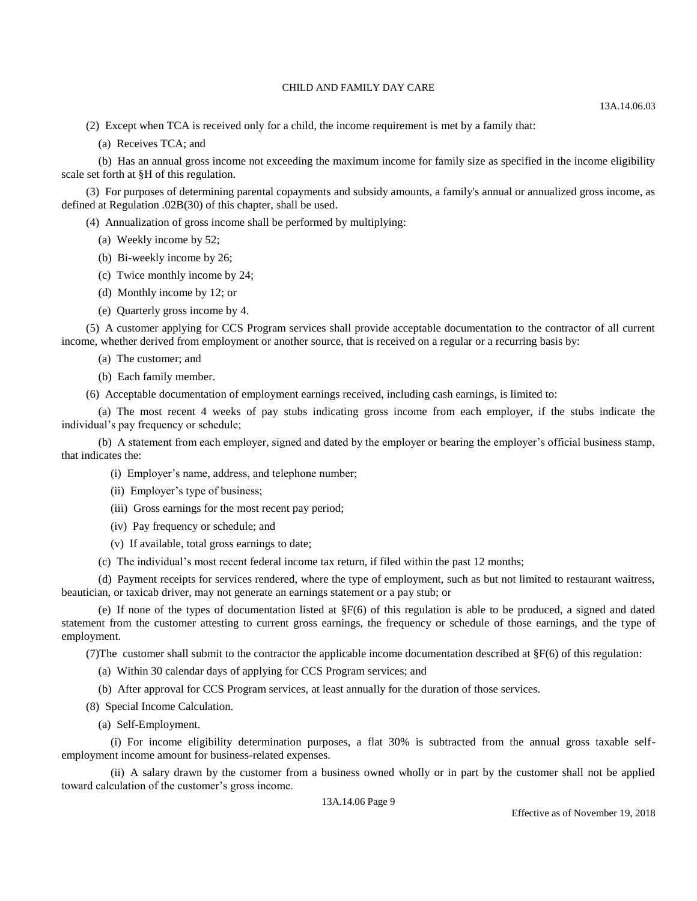(2) Except when TCA is received only for a child, the income requirement is met by a family that:

(a) Receives TCA; and

(b) Has an annual gross income not exceeding the maximum income for family size as specified in the income eligibility scale set forth at §H of this regulation.

(3) For purposes of determining parental copayments and subsidy amounts, a family's annual or annualized gross income, as defined at Regulation .02B(30) of this chapter, shall be used.

(4) Annualization of gross income shall be performed by multiplying:

- (a) Weekly income by 52;
- (b) Bi-weekly income by 26;
- (c) Twice monthly income by 24;
- (d) Monthly income by 12; or
- (e) Quarterly gross income by 4.

(5) A customer applying for CCS Program services shall provide acceptable documentation to the contractor of all current income, whether derived from employment or another source, that is received on a regular or a recurring basis by:

- (a) The customer; and
- (b) Each family member.

(6) Acceptable documentation of employment earnings received, including cash earnings, is limited to:

(a) The most recent 4 weeks of pay stubs indicating gross income from each employer, if the stubs indicate the individual's pay frequency or schedule;

(b) A statement from each employer, signed and dated by the employer or bearing the employer's official business stamp, that indicates the:

(i) Employer's name, address, and telephone number;

- (ii) Employer's type of business;
- (iii) Gross earnings for the most recent pay period;
- (iv) Pay frequency or schedule; and
- (v) If available, total gross earnings to date;
- (c) The individual's most recent federal income tax return, if filed within the past 12 months;

(d) Payment receipts for services rendered, where the type of employment, such as but not limited to restaurant waitress, beautician, or taxicab driver, may not generate an earnings statement or a pay stub; or

(e) If none of the types of documentation listed at  $\S F(6)$  of this regulation is able to be produced, a signed and dated statement from the customer attesting to current gross earnings, the frequency or schedule of those earnings, and the type of employment.

(7)The customer shall submit to the contractor the applicable income documentation described at  $\S F(6)$  of this regulation:

- (a) Within 30 calendar days of applying for CCS Program services; and
- (b) After approval for CCS Program services, at least annually for the duration of those services.
- (8) Special Income Calculation.
	- (a) Self-Employment.

(i) For income eligibility determination purposes, a flat 30% is subtracted from the annual gross taxable selfemployment income amount for business-related expenses.

(ii) A salary drawn by the customer from a business owned wholly or in part by the customer shall not be applied toward calculation of the customer's gross income.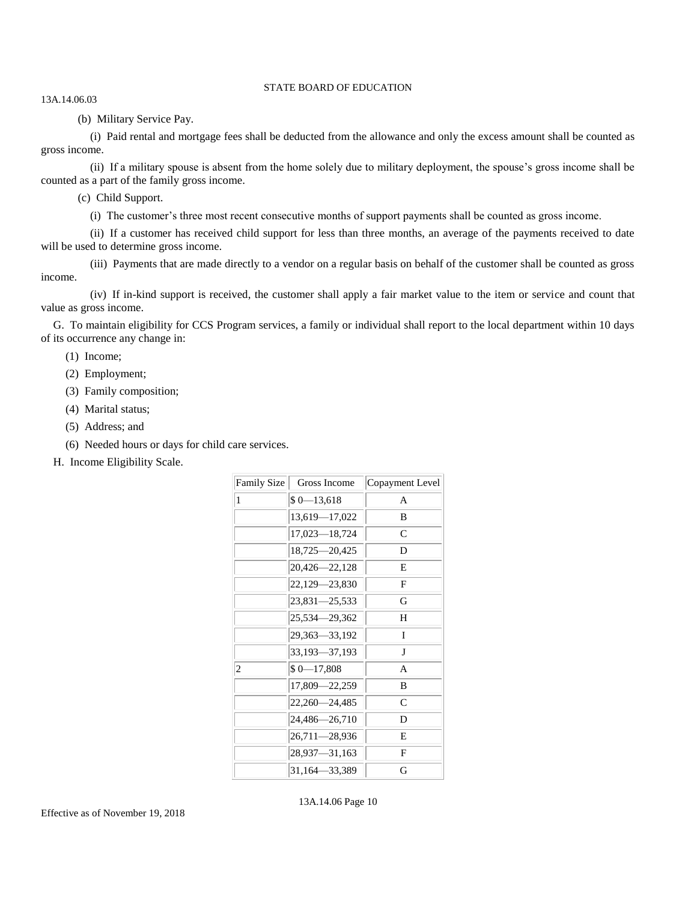13A.14.06.03

(b) Military Service Pay.

(i) Paid rental and mortgage fees shall be deducted from the allowance and only the excess amount shall be counted as gross income.

(ii) If a military spouse is absent from the home solely due to military deployment, the spouse's gross income shall be counted as a part of the family gross income.

(c) Child Support.

(i) The customer's three most recent consecutive months of support payments shall be counted as gross income.

(ii) If a customer has received child support for less than three months, an average of the payments received to date will be used to determine gross income.

(iii) Payments that are made directly to a vendor on a regular basis on behalf of the customer shall be counted as gross income.

(iv) If in-kind support is received, the customer shall apply a fair market value to the item or service and count that value as gross income.

G. To maintain eligibility for CCS Program services, a family or individual shall report to the local department within 10 days of its occurrence any change in:

(1) Income;

(2) Employment;

- (3) Family composition;
- (4) Marital status;
- (5) Address; and
- (6) Needed hours or days for child care services.
- H. Income Eligibility Scale.

| Family Size             | Gross Income    | Copayment Level |
|-------------------------|-----------------|-----------------|
| 1                       | $$0 - 13,618$   | A               |
|                         | 13,619-17,022   | B               |
|                         | 17,023-18,724   | C               |
|                         | 18,725 - 20,425 | D               |
|                         | 20,426-22,128   | Е               |
|                         | 22,129 - 23,830 | F               |
|                         | 23,831-25,533   | G               |
|                         | 25,534-29,362   | Н               |
|                         | 29,363-33,192   | Ι               |
|                         | 33,193-37,193   | J               |
| $\overline{\mathbf{c}}$ | $$0 - 17,808$   | A               |
|                         | 17,809 - 22,259 | B               |
|                         | 22,260-24,485   | C               |
|                         | 24,486-26,710   | D               |
|                         | 26,711-28,936   | Е               |
|                         | 28,937-31,163   | F               |
|                         | 31,164 - 33,389 | G               |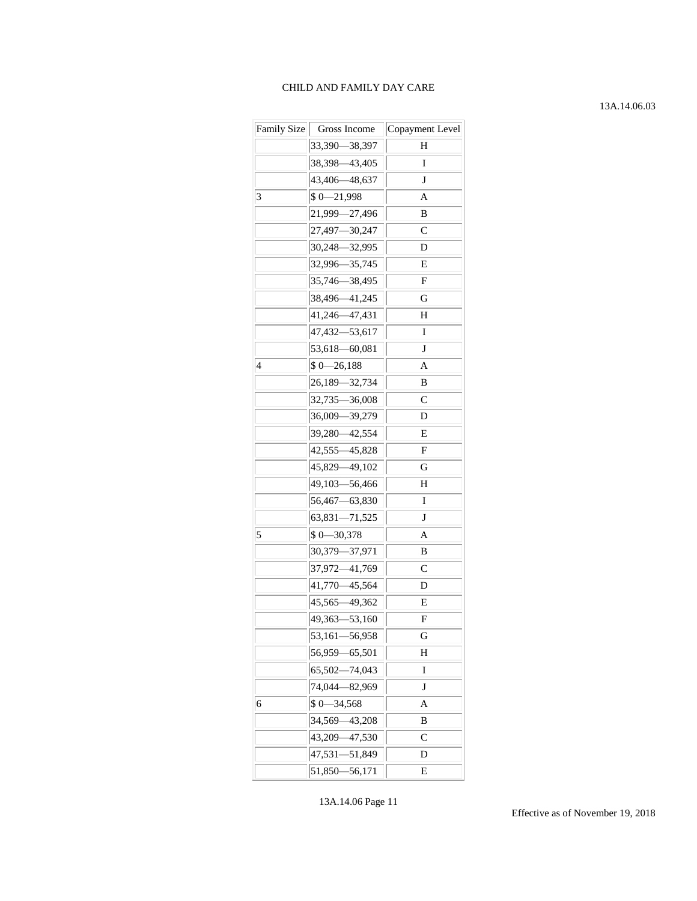# 13A.14.06.03

|   | Family Size   Gross Income | Copayment Level |
|---|----------------------------|-----------------|
|   | 33,390 - 38,397            | Н               |
|   | 38,398 - 43,405            | I               |
|   | 43,406 - 48,637            | J               |
| 3 | $$0 - 21,998$              | A               |
|   | 21,999-27,496              | В               |
|   | 27,497-30,247              | C               |
|   | 30,248-32,995              | D               |
|   | 32,996-35,745              | Е               |
|   | 35,746-38,495              | F               |
|   | 38,496-41,245              | G               |
|   | 41,246-47,431              | Н               |
|   | 47,432-53,617              | I               |
|   | 53,618-60,081              | J               |
| 4 | $$0 - 26,188$              | A               |
|   | 26,189-32,734              | В               |
|   | 32,735-36,008              | C               |
|   | 36,009-39,279              | D               |
|   | 39,280 - 42,554            | Е               |
|   | 42,555 - 45,828            | F               |
|   | 45,829 - 49,102            | G               |
|   | 49,103-56,466              | Н               |
|   | 56,467-63,830              | I               |
|   | 63,831-71,525              | $\bf J$         |
| 5 | $$0 - 30,378$              | A               |
|   | 30,379-37,971              | В               |
|   | 37,972-41,769              | С               |
|   | 41,770 - 45,564            | D               |
|   | 45,565 - 49,362            | E               |
|   | 49,363-53,160              | F               |
|   | 53,161—56,958              | G               |
|   | 56,959-65,501              | Н               |
|   | 65,502-74,043              | I               |
|   | 74,044-82,969              | $\bf J$         |
| 6 | $$0 - 34,568$              | Α               |
|   | 34,569-43,208              | B               |
|   | 43,209 - 47,530            | С               |
|   | 47,531-51,849              | D               |
|   | 51,850 - 56,171            | E               |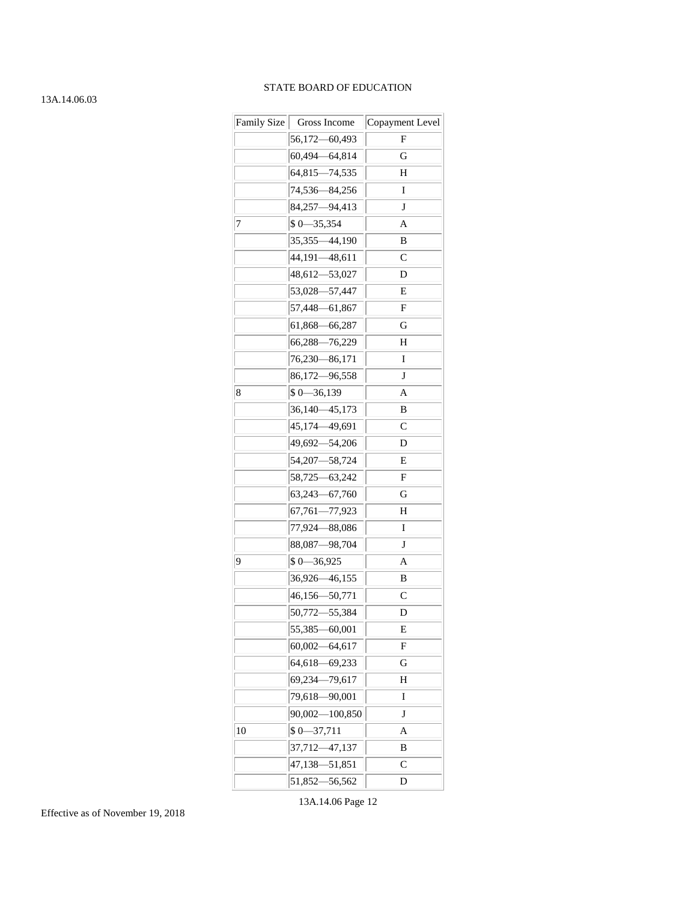#### 13A.14.06.03

|    | Family Size   Gross Income | Copayment Level |
|----|----------------------------|-----------------|
|    | 56,172-60,493              | F               |
|    | 60,494 - 64,814            | G               |
|    | 64,815-74,535              | Н               |
|    | 74,536-84,256              | 1               |
|    | 84,257-94,413              | J               |
| 7  | $$0 - 35,354$              | A               |
|    | 35,355-44,190              | B               |
|    | 44,191-48,611              | C               |
|    | 48,612-53,027              | D               |
|    | 53,028-57,447              | Е               |
|    | 57,448-61,867              | F               |
|    | 61,868–66,287              | G               |
|    | 66,288-76,229              | Н               |
|    | 76,230-86,171              | I               |
|    | 86,172-96,558              | J               |
| 8  | $$0 - 36,139$              | Α               |
|    | 36,140—45,173              | B               |
|    | 45,174-49,691              | C               |
|    | 49,692—54,206              | D               |
|    | 54, 207 - 58, 724          | Е               |
|    | 58,725 - 63,242            | F               |
|    | 63,243-67,760              | G               |
|    | 67,761-77,923              | Н               |
|    | 77,924-88,086              | I               |
|    | 88,087-98,704              | J               |
| 9  | $$0 - 36,925$              | A               |
|    | 36,926—46,155              | В               |
|    | 46,156-50,771              | C               |
|    | 50,772—55,384              | D               |
|    | 55,385 - 60,001            | E               |
|    | $60,002 - 64,617$          | F               |
|    | 64,618-69,233              | G               |
|    | 69,234-79,617              | Н               |
|    | 79,618-90,001              | I               |
|    | $90,002 - 100,850$         | $\mathbf{J}$    |
| 10 | $$0 - 37,711$              | Α               |
|    | 37,712-47,137              | B               |
|    | 47,138—51,851              | C               |
|    | 51,852-56,562              | D               |

Effective as of November 19, 2018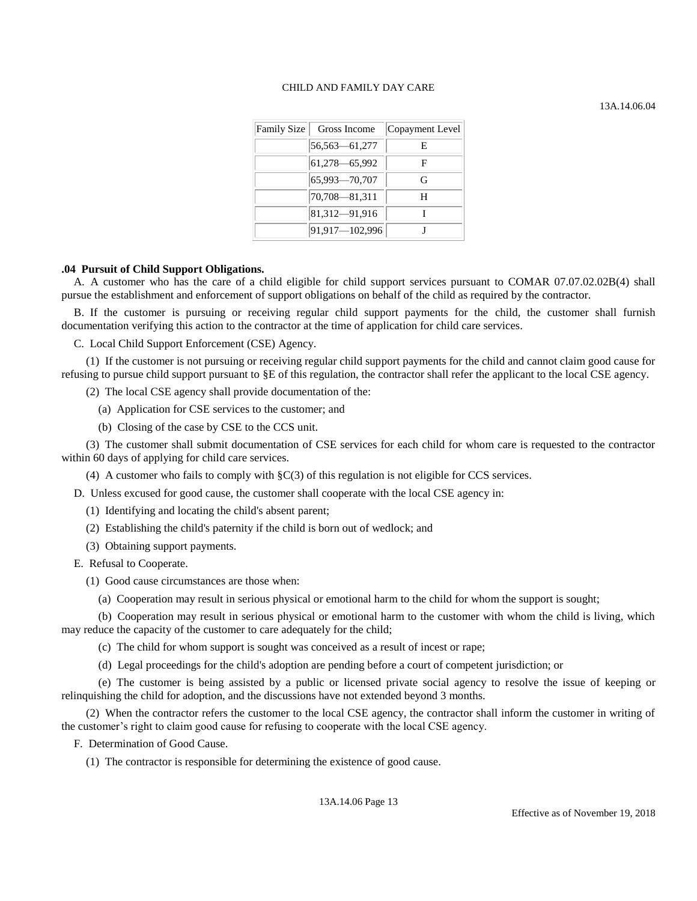13A.14.06.04

| Family Size | Gross Income    | Copayment Level |
|-------------|-----------------|-----------------|
|             | 56,563 - 61,277 | E               |
|             | 61,278 - 65,992 | F               |
|             | 65,993-70,707   | G               |
|             | 70,708-81,311   | н               |
|             | 81,312-91,916   |                 |
|             | 91,917-102,996  |                 |

### **.04 Pursuit of Child Support Obligations.**

A. A customer who has the care of a child eligible for child support services pursuant to COMAR 07.07.02.02B(4) shall pursue the establishment and enforcement of support obligations on behalf of the child as required by the contractor.

B. If the customer is pursuing or receiving regular child support payments for the child, the customer shall furnish documentation verifying this action to the contractor at the time of application for child care services.

C. Local Child Support Enforcement (CSE) Agency.

(1) If the customer is not pursuing or receiving regular child support payments for the child and cannot claim good cause for refusing to pursue child support pursuant to §E of this regulation, the contractor shall refer the applicant to the local CSE agency.

(2) The local CSE agency shall provide documentation of the:

(a) Application for CSE services to the customer; and

(b) Closing of the case by CSE to the CCS unit.

(3) The customer shall submit documentation of CSE services for each child for whom care is requested to the contractor within 60 days of applying for child care services.

(4) A customer who fails to comply with  $C(3)$  of this regulation is not eligible for CCS services.

D. Unless excused for good cause, the customer shall cooperate with the local CSE agency in:

(1) Identifying and locating the child's absent parent;

(2) Establishing the child's paternity if the child is born out of wedlock; and

(3) Obtaining support payments.

E. Refusal to Cooperate.

(1) Good cause circumstances are those when:

(a) Cooperation may result in serious physical or emotional harm to the child for whom the support is sought;

(b) Cooperation may result in serious physical or emotional harm to the customer with whom the child is living, which may reduce the capacity of the customer to care adequately for the child;

(c) The child for whom support is sought was conceived as a result of incest or rape;

(d) Legal proceedings for the child's adoption are pending before a court of competent jurisdiction; or

(e) The customer is being assisted by a public or licensed private social agency to resolve the issue of keeping or relinquishing the child for adoption, and the discussions have not extended beyond 3 months.

(2) When the contractor refers the customer to the local CSE agency, the contractor shall inform the customer in writing of the customer's right to claim good cause for refusing to cooperate with the local CSE agency.

F. Determination of Good Cause.

(1) The contractor is responsible for determining the existence of good cause.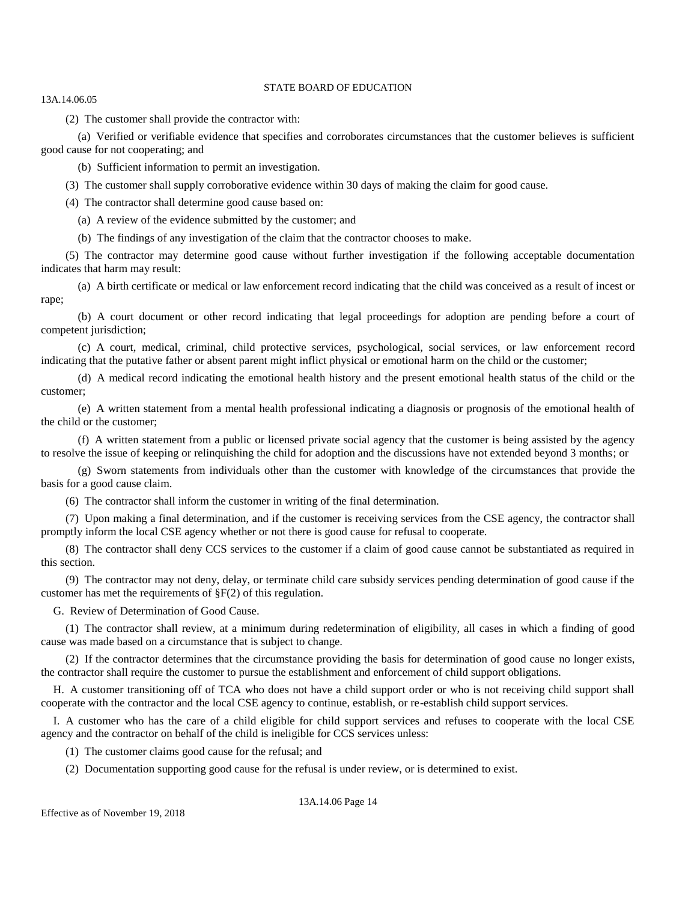13A.14.06.05

(2) The customer shall provide the contractor with:

(a) Verified or verifiable evidence that specifies and corroborates circumstances that the customer believes is sufficient good cause for not cooperating; and

(b) Sufficient information to permit an investigation.

(3) The customer shall supply corroborative evidence within 30 days of making the claim for good cause.

(4) The contractor shall determine good cause based on:

(a) A review of the evidence submitted by the customer; and

(b) The findings of any investigation of the claim that the contractor chooses to make.

(5) The contractor may determine good cause without further investigation if the following acceptable documentation indicates that harm may result:

(a) A birth certificate or medical or law enforcement record indicating that the child was conceived as a result of incest or rape;

(b) A court document or other record indicating that legal proceedings for adoption are pending before a court of competent jurisdiction;

(c) A court, medical, criminal, child protective services, psychological, social services, or law enforcement record indicating that the putative father or absent parent might inflict physical or emotional harm on the child or the customer;

(d) A medical record indicating the emotional health history and the present emotional health status of the child or the customer;

(e) A written statement from a mental health professional indicating a diagnosis or prognosis of the emotional health of the child or the customer;

(f) A written statement from a public or licensed private social agency that the customer is being assisted by the agency to resolve the issue of keeping or relinquishing the child for adoption and the discussions have not extended beyond 3 months; or

(g) Sworn statements from individuals other than the customer with knowledge of the circumstances that provide the basis for a good cause claim.

(6) The contractor shall inform the customer in writing of the final determination.

(7) Upon making a final determination, and if the customer is receiving services from the CSE agency, the contractor shall promptly inform the local CSE agency whether or not there is good cause for refusal to cooperate.

(8) The contractor shall deny CCS services to the customer if a claim of good cause cannot be substantiated as required in this section.

(9) The contractor may not deny, delay, or terminate child care subsidy services pending determination of good cause if the customer has met the requirements of §F(2) of this regulation.

G. Review of Determination of Good Cause.

(1) The contractor shall review, at a minimum during redetermination of eligibility, all cases in which a finding of good cause was made based on a circumstance that is subject to change.

(2) If the contractor determines that the circumstance providing the basis for determination of good cause no longer exists, the contractor shall require the customer to pursue the establishment and enforcement of child support obligations.

H. A customer transitioning off of TCA who does not have a child support order or who is not receiving child support shall cooperate with the contractor and the local CSE agency to continue, establish, or re-establish child support services.

I. A customer who has the care of a child eligible for child support services and refuses to cooperate with the local CSE agency and the contractor on behalf of the child is ineligible for CCS services unless:

(1) The customer claims good cause for the refusal; and

(2) Documentation supporting good cause for the refusal is under review, or is determined to exist.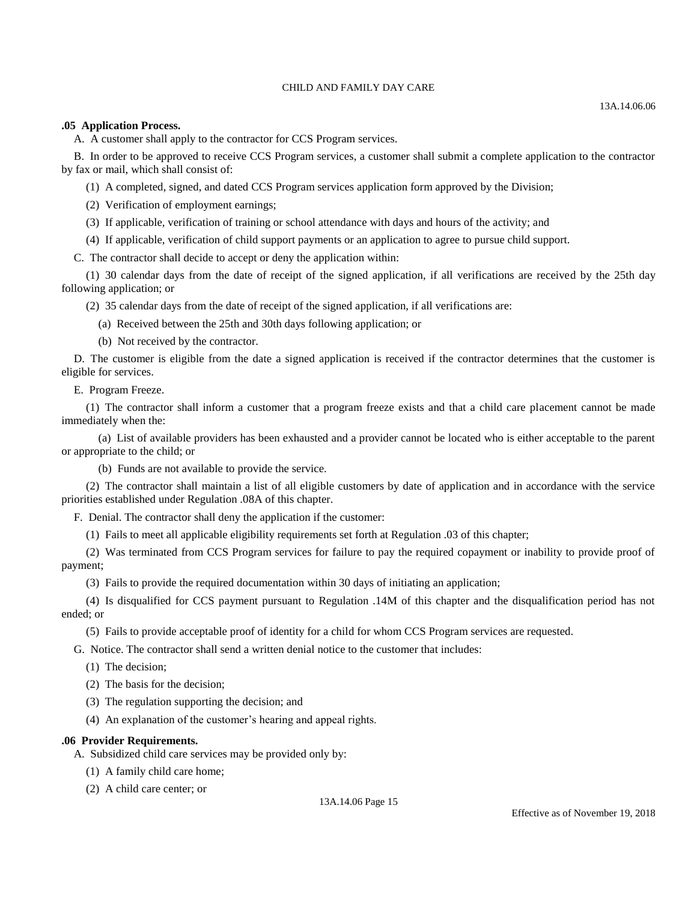#### **.05 Application Process.**

A. A customer shall apply to the contractor for CCS Program services.

B. In order to be approved to receive CCS Program services, a customer shall submit a complete application to the contractor by fax or mail, which shall consist of:

(1) A completed, signed, and dated CCS Program services application form approved by the Division;

(2) Verification of employment earnings;

(3) If applicable, verification of training or school attendance with days and hours of the activity; and

(4) If applicable, verification of child support payments or an application to agree to pursue child support.

C. The contractor shall decide to accept or deny the application within:

(1) 30 calendar days from the date of receipt of the signed application, if all verifications are received by the 25th day following application; or

(2) 35 calendar days from the date of receipt of the signed application, if all verifications are:

(a) Received between the 25th and 30th days following application; or

(b) Not received by the contractor.

D. The customer is eligible from the date a signed application is received if the contractor determines that the customer is eligible for services.

E. Program Freeze.

(1) The contractor shall inform a customer that a program freeze exists and that a child care placement cannot be made immediately when the:

(a) List of available providers has been exhausted and a provider cannot be located who is either acceptable to the parent or appropriate to the child; or

(b) Funds are not available to provide the service.

(2) The contractor shall maintain a list of all eligible customers by date of application and in accordance with the service priorities established under Regulation .08A of this chapter.

F. Denial. The contractor shall deny the application if the customer:

(1) Fails to meet all applicable eligibility requirements set forth at Regulation .03 of this chapter;

(2) Was terminated from CCS Program services for failure to pay the required copayment or inability to provide proof of payment;

(3) Fails to provide the required documentation within 30 days of initiating an application;

(4) Is disqualified for CCS payment pursuant to Regulation .14M of this chapter and the disqualification period has not ended; or

(5) Fails to provide acceptable proof of identity for a child for whom CCS Program services are requested.

G. Notice. The contractor shall send a written denial notice to the customer that includes:

- (1) The decision;
- (2) The basis for the decision;
- (3) The regulation supporting the decision; and

(4) An explanation of the customer's hearing and appeal rights.

### **.06 Provider Requirements.**

A. Subsidized child care services may be provided only by:

- (1) A family child care home;
- (2) A child care center; or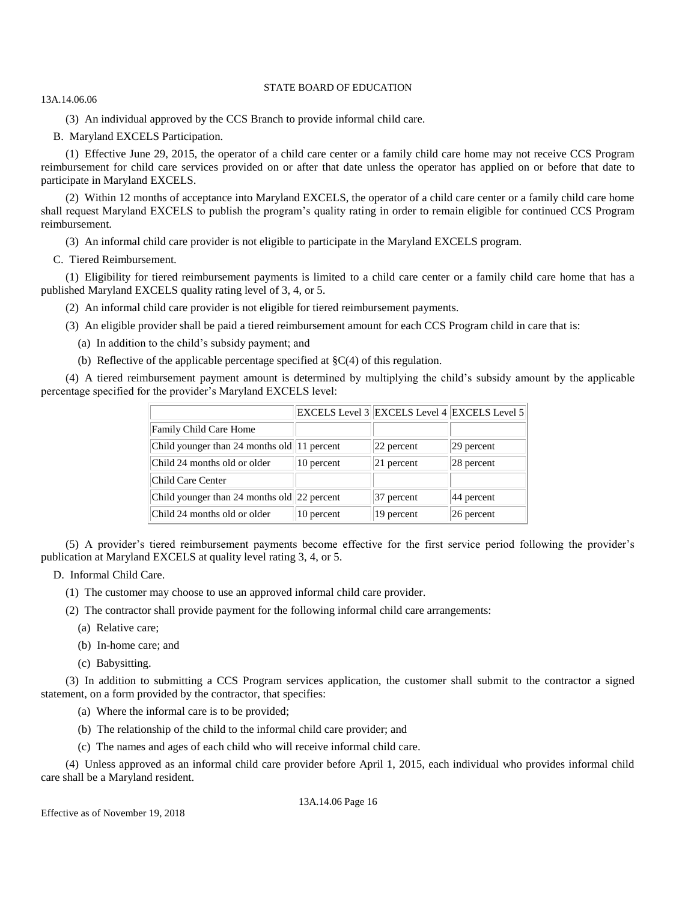13A.14.06.06

(3) An individual approved by the CCS Branch to provide informal child care.

B. Maryland EXCELS Participation.

(1) Effective June 29, 2015, the operator of a child care center or a family child care home may not receive CCS Program reimbursement for child care services provided on or after that date unless the operator has applied on or before that date to participate in Maryland EXCELS.

(2) Within 12 months of acceptance into Maryland EXCELS, the operator of a child care center or a family child care home shall request Maryland EXCELS to publish the program's quality rating in order to remain eligible for continued CCS Program reimbursement.

(3) An informal child care provider is not eligible to participate in the Maryland EXCELS program.

C. Tiered Reimbursement.

(1) Eligibility for tiered reimbursement payments is limited to a child care center or a family child care home that has a published Maryland EXCELS quality rating level of 3, 4, or 5.

(2) An informal child care provider is not eligible for tiered reimbursement payments.

(3) An eligible provider shall be paid a tiered reimbursement amount for each CCS Program child in care that is:

(a) In addition to the child's subsidy payment; and

(b) Reflective of the applicable percentage specified at  $\S C(4)$  of this regulation.

(4) A tiered reimbursement payment amount is determined by multiplying the child's subsidy amount by the applicable percentage specified for the provider's Maryland EXCELS level:

|                                             |            | EXCELS Level 3 EXCELS Level 4 EXCELS Level 5 |               |
|---------------------------------------------|------------|----------------------------------------------|---------------|
| Family Child Care Home                      |            |                                              |               |
| Child younger than 24 months old 11 percent |            | $ 22$ percent                                | $ 29$ percent |
| Child 24 months old or older                | 10 percent | $ 21$ percent                                | $ 28$ percent |
| Child Care Center                           |            |                                              |               |
| Child younger than 24 months old 22 percent |            | $ 37$ percent                                | $ 44$ percent |
| Child 24 months old or older                | 10 percent | 19 percent                                   | $ 26$ percent |

(5) A provider's tiered reimbursement payments become effective for the first service period following the provider's publication at Maryland EXCELS at quality level rating 3, 4, or 5.

D. Informal Child Care.

(1) The customer may choose to use an approved informal child care provider.

(2) The contractor shall provide payment for the following informal child care arrangements:

(a) Relative care;

(b) In-home care; and

(c) Babysitting.

(3) In addition to submitting a CCS Program services application, the customer shall submit to the contractor a signed statement, on a form provided by the contractor, that specifies:

(a) Where the informal care is to be provided;

- (b) The relationship of the child to the informal child care provider; and
- (c) The names and ages of each child who will receive informal child care.

(4) Unless approved as an informal child care provider before April 1, 2015, each individual who provides informal child care shall be a Maryland resident.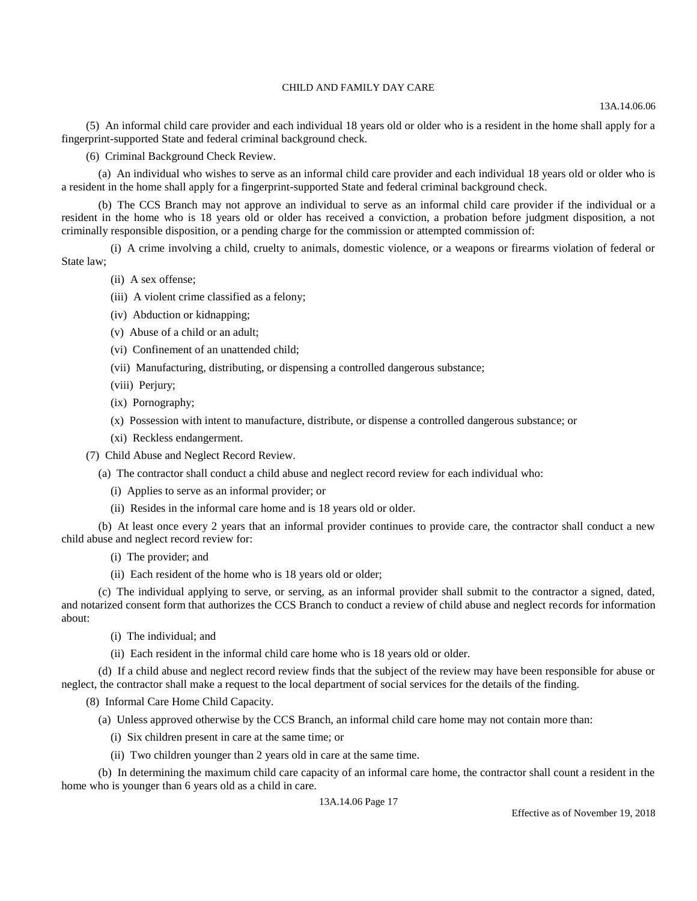13A.14.06.06

(5) An informal child care provider and each individual 18 years old or older who is a resident in the home shall apply for a fingerprint-supported State and federal criminal background check.

(6) Criminal Background Check Review.

(a) An individual who wishes to serve as an informal child care provider and each individual 18 years old or older who is a resident in the home shall apply for a fingerprint-supported State and federal criminal background check.

(b) The CCS Branch may not approve an individual to serve as an informal child care provider if the individual or a resident in the home who is 18 years old or older has received a conviction, a probation before judgment disposition, a not criminally responsible disposition, or a pending charge for the commission or attempted commission of:

(i) A crime involving a child, cruelty to animals, domestic violence, or a weapons or firearms violation of federal or State law;

- (ii) A sex offense;
- (iii) A violent crime classified as a felony;
- (iv) Abduction or kidnapping;
- (v) Abuse of a child or an adult;
- (vi) Confinement of an unattended child;
- (vii) Manufacturing, distributing, or dispensing a controlled dangerous substance;
- (viii) Perjury;
- (ix) Pornography;
- (x) Possession with intent to manufacture, distribute, or dispense a controlled dangerous substance; or
- (xi) Reckless endangerment.

(7) Child Abuse and Neglect Record Review.

(a) The contractor shall conduct a child abuse and neglect record review for each individual who:

- (i) Applies to serve as an informal provider; or
- (ii) Resides in the informal care home and is 18 years old or older.

(b) At least once every 2 years that an informal provider continues to provide care, the contractor shall conduct a new child abuse and neglect record review for:

- (i) The provider; and
- (ii) Each resident of the home who is 18 years old or older;

(c) The individual applying to serve, or serving, as an informal provider shall submit to the contractor a signed, dated, and notarized consent form that authorizes the CCS Branch to conduct a review of child abuse and neglect records for information about:

- (i) The individual; and
- (ii) Each resident in the informal child care home who is 18 years old or older.

(d) If a child abuse and neglect record review finds that the subject of the review may have been responsible for abuse or neglect, the contractor shall make a request to the local department of social services for the details of the finding.

(8) Informal Care Home Child Capacity.

(a) Unless approved otherwise by the CCS Branch, an informal child care home may not contain more than:

- (i) Six children present in care at the same time; or
- (ii) Two children younger than 2 years old in care at the same time.

(b) In determining the maximum child care capacity of an informal care home, the contractor shall count a resident in the home who is younger than 6 years old as a child in care.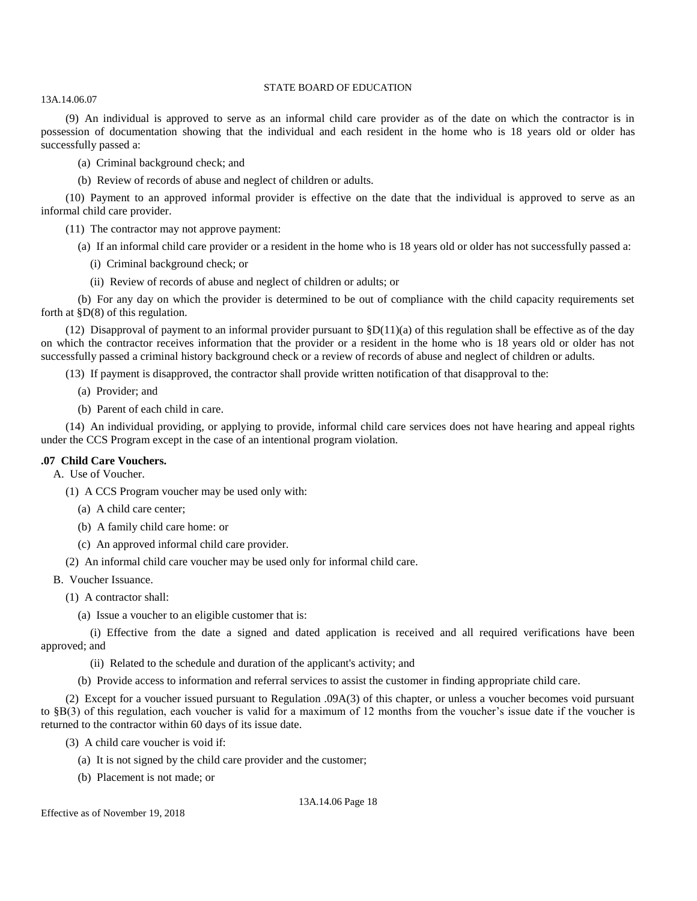13A.14.06.07

(9) An individual is approved to serve as an informal child care provider as of the date on which the contractor is in possession of documentation showing that the individual and each resident in the home who is 18 years old or older has successfully passed a:

(a) Criminal background check; and

(b) Review of records of abuse and neglect of children or adults.

(10) Payment to an approved informal provider is effective on the date that the individual is approved to serve as an informal child care provider.

(11) The contractor may not approve payment:

(a) If an informal child care provider or a resident in the home who is 18 years old or older has not successfully passed a:

(i) Criminal background check; or

(ii) Review of records of abuse and neglect of children or adults; or

(b) For any day on which the provider is determined to be out of compliance with the child capacity requirements set forth at  $$D(8)$  of this regulation.

(12) Disapproval of payment to an informal provider pursuant to  $$D(11)(a)$  of this regulation shall be effective as of the day on which the contractor receives information that the provider or a resident in the home who is 18 years old or older has not successfully passed a criminal history background check or a review of records of abuse and neglect of children or adults.

(13) If payment is disapproved, the contractor shall provide written notification of that disapproval to the:

(a) Provider; and

(b) Parent of each child in care.

(14) An individual providing, or applying to provide, informal child care services does not have hearing and appeal rights under the CCS Program except in the case of an intentional program violation.

### **.07 Child Care Vouchers.**

A. Use of Voucher.

(1) A CCS Program voucher may be used only with:

- (a) A child care center;
- (b) A family child care home: or
- (c) An approved informal child care provider.

(2) An informal child care voucher may be used only for informal child care.

B. Voucher Issuance.

(1) A contractor shall:

(a) Issue a voucher to an eligible customer that is:

(i) Effective from the date a signed and dated application is received and all required verifications have been approved; and

(ii) Related to the schedule and duration of the applicant's activity; and

(b) Provide access to information and referral services to assist the customer in finding appropriate child care.

(2) Except for a voucher issued pursuant to Regulation .09A(3) of this chapter, or unless a voucher becomes void pursuant to §B(3) of this regulation, each voucher is valid for a maximum of 12 months from the voucher's issue date if the voucher is returned to the contractor within 60 days of its issue date.

(3) A child care voucher is void if:

- (a) It is not signed by the child care provider and the customer;
- (b) Placement is not made; or

13A.14.06 Page 18

Effective as of November 19, 2018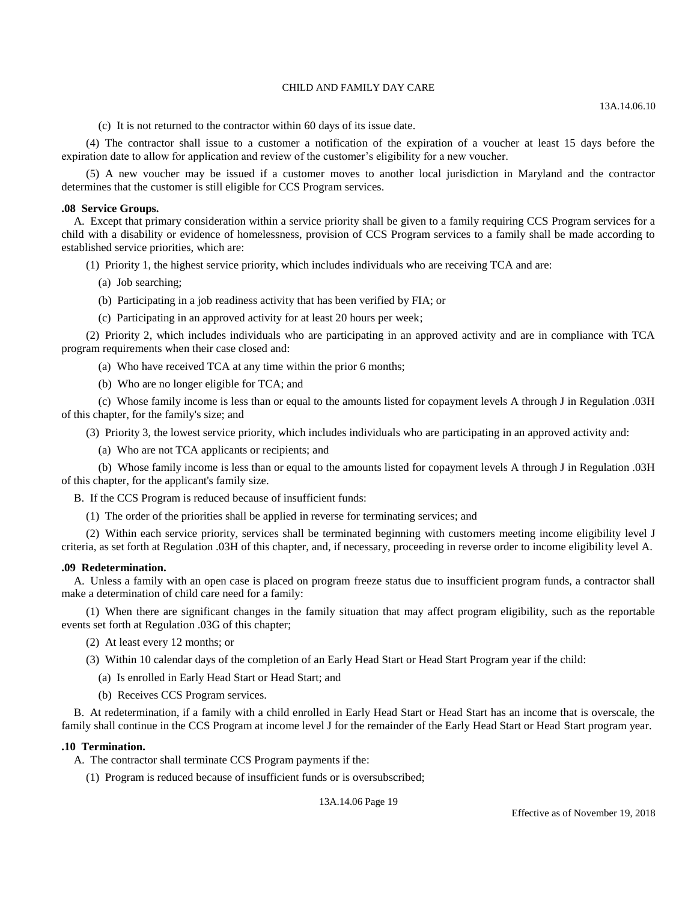13A.14.06.10

(c) It is not returned to the contractor within 60 days of its issue date.

(4) The contractor shall issue to a customer a notification of the expiration of a voucher at least 15 days before the expiration date to allow for application and review of the customer's eligibility for a new voucher.

(5) A new voucher may be issued if a customer moves to another local jurisdiction in Maryland and the contractor determines that the customer is still eligible for CCS Program services.

#### **.08 Service Groups.**

A. Except that primary consideration within a service priority shall be given to a family requiring CCS Program services for a child with a disability or evidence of homelessness, provision of CCS Program services to a family shall be made according to established service priorities, which are:

(1) Priority 1, the highest service priority, which includes individuals who are receiving TCA and are:

- (a) Job searching;
- (b) Participating in a job readiness activity that has been verified by FIA; or
- (c) Participating in an approved activity for at least 20 hours per week;

(2) Priority 2, which includes individuals who are participating in an approved activity and are in compliance with TCA program requirements when their case closed and:

- (a) Who have received TCA at any time within the prior 6 months;
- (b) Who are no longer eligible for TCA; and

(c) Whose family income is less than or equal to the amounts listed for copayment levels A through J in Regulation .03H of this chapter, for the family's size; and

(3) Priority 3, the lowest service priority, which includes individuals who are participating in an approved activity and:

(a) Who are not TCA applicants or recipients; and

(b) Whose family income is less than or equal to the amounts listed for copayment levels A through J in Regulation .03H of this chapter, for the applicant's family size.

B. If the CCS Program is reduced because of insufficient funds:

(1) The order of the priorities shall be applied in reverse for terminating services; and

(2) Within each service priority, services shall be terminated beginning with customers meeting income eligibility level J criteria, as set forth at Regulation .03H of this chapter, and, if necessary, proceeding in reverse order to income eligibility level A.

#### **.09 Redetermination.**

A. Unless a family with an open case is placed on program freeze status due to insufficient program funds, a contractor shall make a determination of child care need for a family:

(1) When there are significant changes in the family situation that may affect program eligibility, such as the reportable events set forth at Regulation .03G of this chapter;

- (2) At least every 12 months; or
- (3) Within 10 calendar days of the completion of an Early Head Start or Head Start Program year if the child:
	- (a) Is enrolled in Early Head Start or Head Start; and
	- (b) Receives CCS Program services.

B. At redetermination, if a family with a child enrolled in Early Head Start or Head Start has an income that is overscale, the family shall continue in the CCS Program at income level J for the remainder of the Early Head Start or Head Start program year.

#### **.10 Termination.**

- A. The contractor shall terminate CCS Program payments if the:
	- (1) Program is reduced because of insufficient funds or is oversubscribed;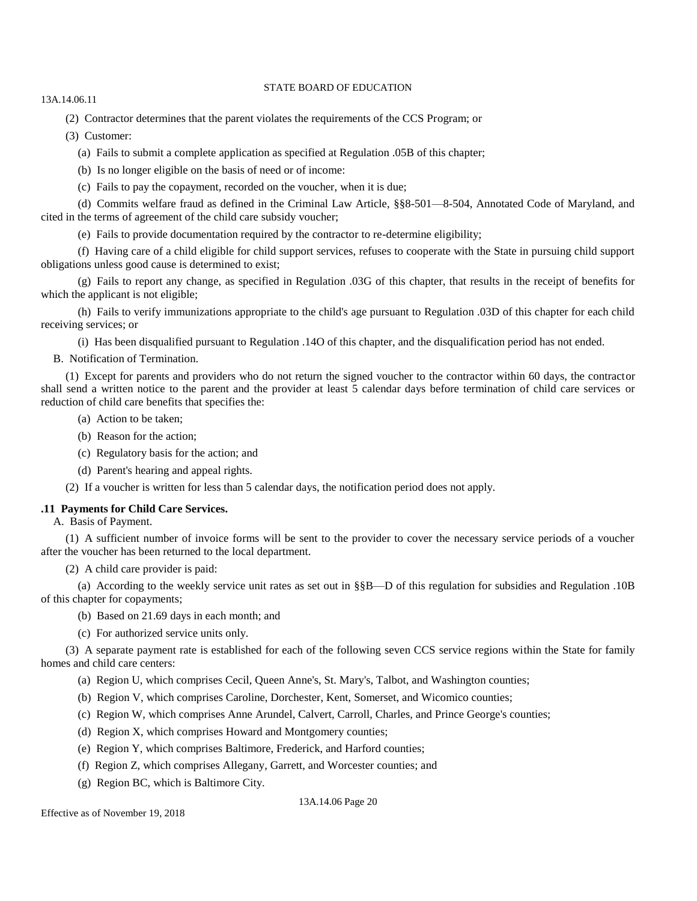13A.14.06.11

(2) Contractor determines that the parent violates the requirements of the CCS Program; or

(3) Customer:

(a) Fails to submit a complete application as specified at Regulation .05B of this chapter;

(b) Is no longer eligible on the basis of need or of income:

(c) Fails to pay the copayment, recorded on the voucher, when it is due;

(d) Commits welfare fraud as defined in the Criminal Law Article, §§8-501—8-504, Annotated Code of Maryland, and cited in the terms of agreement of the child care subsidy voucher;

(e) Fails to provide documentation required by the contractor to re-determine eligibility;

(f) Having care of a child eligible for child support services, refuses to cooperate with the State in pursuing child support obligations unless good cause is determined to exist;

(g) Fails to report any change, as specified in Regulation .03G of this chapter, that results in the receipt of benefits for which the applicant is not eligible;

(h) Fails to verify immunizations appropriate to the child's age pursuant to Regulation .03D of this chapter for each child receiving services; or

(i) Has been disqualified pursuant to Regulation .14O of this chapter, and the disqualification period has not ended.

B. Notification of Termination.

(1) Except for parents and providers who do not return the signed voucher to the contractor within 60 days, the contractor shall send a written notice to the parent and the provider at least 5 calendar days before termination of child care services or reduction of child care benefits that specifies the:

- (a) Action to be taken;
- (b) Reason for the action;
- (c) Regulatory basis for the action; and
- (d) Parent's hearing and appeal rights.

(2) If a voucher is written for less than 5 calendar days, the notification period does not apply.

# **.11 Payments for Child Care Services.**

A. Basis of Payment.

(1) A sufficient number of invoice forms will be sent to the provider to cover the necessary service periods of a voucher after the voucher has been returned to the local department.

(2) A child care provider is paid:

(a) According to the weekly service unit rates as set out in §§B—D of this regulation for subsidies and Regulation .10B of this chapter for copayments;

(b) Based on 21.69 days in each month; and

(c) For authorized service units only.

(3) A separate payment rate is established for each of the following seven CCS service regions within the State for family homes and child care centers:

- (a) Region U, which comprises Cecil, Queen Anne's, St. Mary's, Talbot, and Washington counties;
- (b) Region V, which comprises Caroline, Dorchester, Kent, Somerset, and Wicomico counties;
- (c) Region W, which comprises Anne Arundel, Calvert, Carroll, Charles, and Prince George's counties;
- (d) Region X, which comprises Howard and Montgomery counties;
- (e) Region Y, which comprises Baltimore, Frederick, and Harford counties;
- (f) Region Z, which comprises Allegany, Garrett, and Worcester counties; and
- (g) Region BC, which is Baltimore City.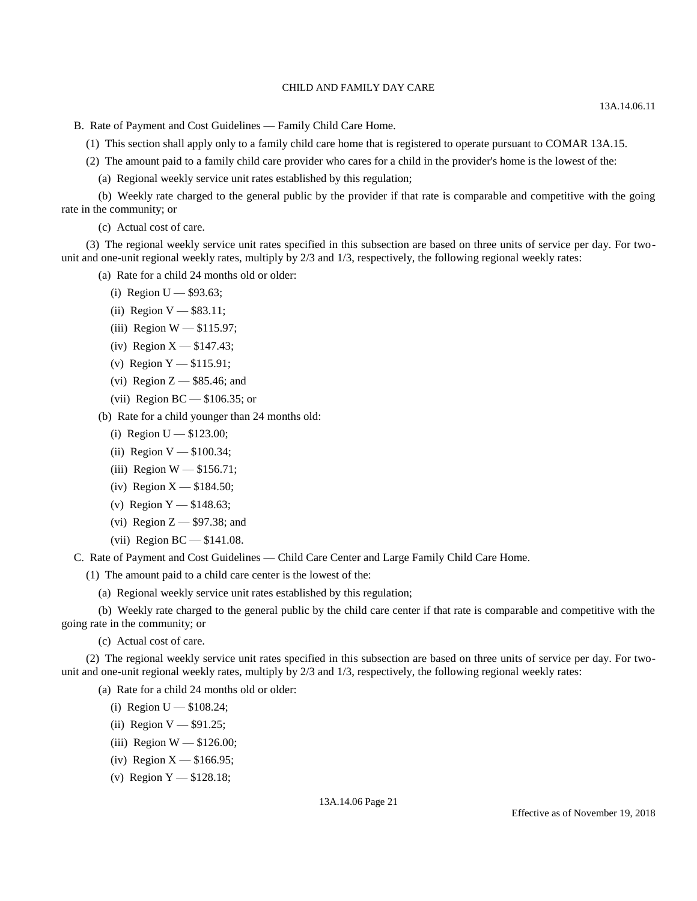B. Rate of Payment and Cost Guidelines — Family Child Care Home.

(1) This section shall apply only to a family child care home that is registered to operate pursuant to COMAR 13A.15.

- (2) The amount paid to a family child care provider who cares for a child in the provider's home is the lowest of the:
	- (a) Regional weekly service unit rates established by this regulation;

(b) Weekly rate charged to the general public by the provider if that rate is comparable and competitive with the going rate in the community; or

(c) Actual cost of care.

(3) The regional weekly service unit rates specified in this subsection are based on three units of service per day. For twounit and one-unit regional weekly rates, multiply by 2/3 and 1/3, respectively, the following regional weekly rates:

(a) Rate for a child 24 months old or older:

- (i) Region  $U $93.63$ ;
- (ii) Region  $V $83.11$ ;
- (iii) Region W \$115.97;
- (iv) Region  $X $147.43$ ;
- (v) Region Y \$115.91;
- (vi) Region  $Z$   $-$  \$85.46; and
- (vii) Region BC \$106.35; or

(b) Rate for a child younger than 24 months old:

- (i) Region  $U $123.00$ ;
- (ii) Region  $V $100.34$ ;
- (iii) Region  $W $156.71$ ;
- (iv) Region  $X $184.50$ ;
- (v) Region  $Y $148.63$ ;
- (vi) Region  $Z $97.38$ ; and
- (vii) Region BC \$141.08.

C. Rate of Payment and Cost Guidelines — Child Care Center and Large Family Child Care Home.

(1) The amount paid to a child care center is the lowest of the:

(a) Regional weekly service unit rates established by this regulation;

(b) Weekly rate charged to the general public by the child care center if that rate is comparable and competitive with the going rate in the community; or

(c) Actual cost of care.

(2) The regional weekly service unit rates specified in this subsection are based on three units of service per day. For twounit and one-unit regional weekly rates, multiply by 2/3 and 1/3, respectively, the following regional weekly rates:

- (a) Rate for a child 24 months old or older:
	- (i) Region  $U $108.24$ ;
	- (ii) Region  $V $91.25$ ;
	- (iii) Region  $W = $126.00$ ;
	- (iv) Region  $X $166.95$ ;
	- (v) Region  $Y $128.18$ ;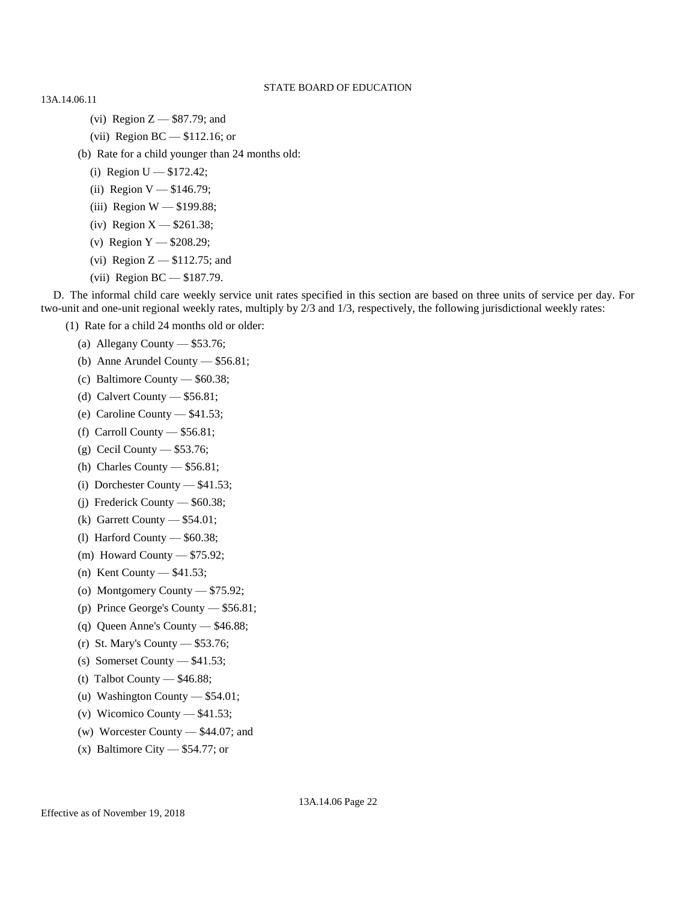13A.14.06.11

- (vi) Region Z \$87.79; and
- (vii) Region BC \$112.16; or
- (b) Rate for a child younger than 24 months old:
	- (i) Region  $U $172.42$ ;
	- (ii) Region  $V $146.79$ ;
	- (iii) Region W \$199.88;
	- (iv) Region  $X $261.38$ ;
	- (v) Region Y \$208.29;
	- (vi) Region Z \$112.75; and
	- (vii) Region BC \$187.79.

D. The informal child care weekly service unit rates specified in this section are based on three units of service per day. For two-unit and one-unit regional weekly rates, multiply by 2/3 and 1/3, respectively, the following jurisdictional weekly rates:

- (1) Rate for a child 24 months old or older:
	- (a) Allegany County \$53.76;
	- (b) Anne Arundel County \$56.81;
	- (c) Baltimore County \$60.38;
	- (d) Calvert County \$56.81;
	- (e) Caroline County \$41.53;
	- (f) Carroll County \$56.81;
	- (g) Cecil County \$53.76;
	- (h) Charles County \$56.81;
	- (i) Dorchester County \$41.53;
	- (j) Frederick County \$60.38;
	- (k) Garrett County \$54.01;
	- (l) Harford County \$60.38;
	- (m) Howard County \$75.92;
	- (n) Kent County \$41.53;
	- (o) Montgomery County \$75.92;
	- (p) Prince George's County \$56.81;
	- (q) Queen Anne's County \$46.88;
	- (r) St. Mary's County \$53.76;
	- (s) Somerset County \$41.53;
	- (t) Talbot County \$46.88;
	- (u) Washington County \$54.01;
	- (v) Wicomico County \$41.53;
	- (w) Worcester County \$44.07; and
	- (x) Baltimore City  $-$  \$54.77; or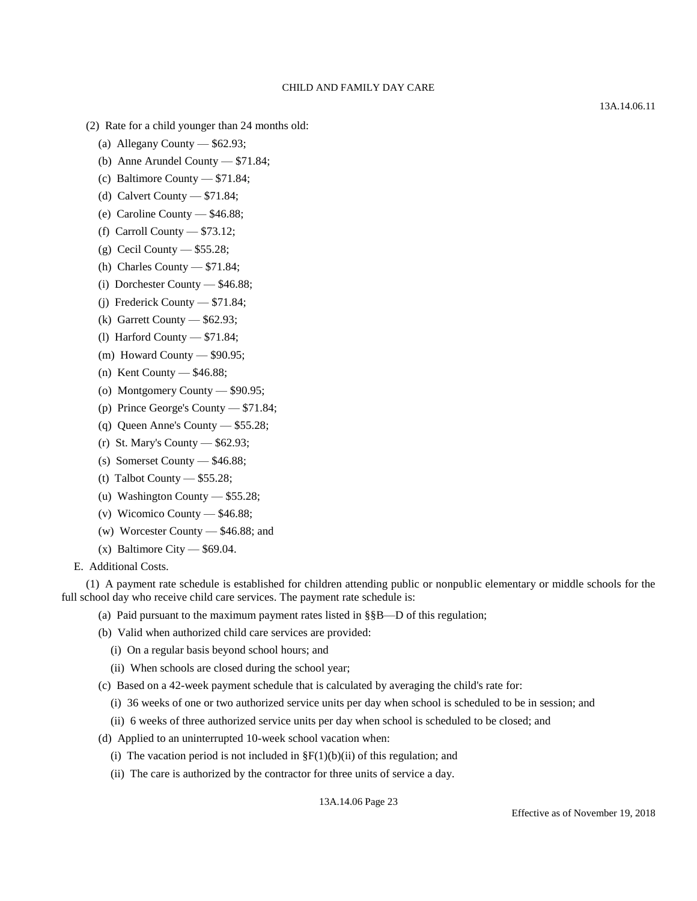(2) Rate for a child younger than 24 months old:

- (a) Allegany County \$62.93;
- (b) Anne Arundel County \$71.84;
- (c) Baltimore County \$71.84;
- (d) Calvert County \$71.84;
- (e) Caroline County \$46.88;
- (f) Carroll County \$73.12;
- (g) Cecil County \$55.28;
- (h) Charles County \$71.84;
- (i) Dorchester County \$46.88;
- (j) Frederick County \$71.84;
- (k) Garrett County \$62.93;
- (l) Harford County \$71.84;
- (m) Howard County \$90.95;
- (n) Kent County \$46.88;
- (o) Montgomery County \$90.95;
- (p) Prince George's County \$71.84;
- (q) Queen Anne's County \$55.28;
- (r) St. Mary's County \$62.93;
- (s) Somerset County \$46.88;
- (t) Talbot County  $-$  \$55.28;
- (u) Washington County \$55.28;
- (v) Wicomico County \$46.88;
- (w) Worcester County \$46.88; and
- $(x)$  Baltimore City  $-$  \$69.04.
- E. Additional Costs.

(1) A payment rate schedule is established for children attending public or nonpublic elementary or middle schools for the full school day who receive child care services. The payment rate schedule is:

- (a) Paid pursuant to the maximum payment rates listed in  $\S\$  $B$ —D of this regulation;
- (b) Valid when authorized child care services are provided:
	- (i) On a regular basis beyond school hours; and
	- (ii) When schools are closed during the school year;
- (c) Based on a 42-week payment schedule that is calculated by averaging the child's rate for:
	- (i) 36 weeks of one or two authorized service units per day when school is scheduled to be in session; and
	- (ii) 6 weeks of three authorized service units per day when school is scheduled to be closed; and
- (d) Applied to an uninterrupted 10-week school vacation when:
	- (i) The vacation period is not included in  $\S F(1)(b)(ii)$  of this regulation; and
	- (ii) The care is authorized by the contractor for three units of service a day.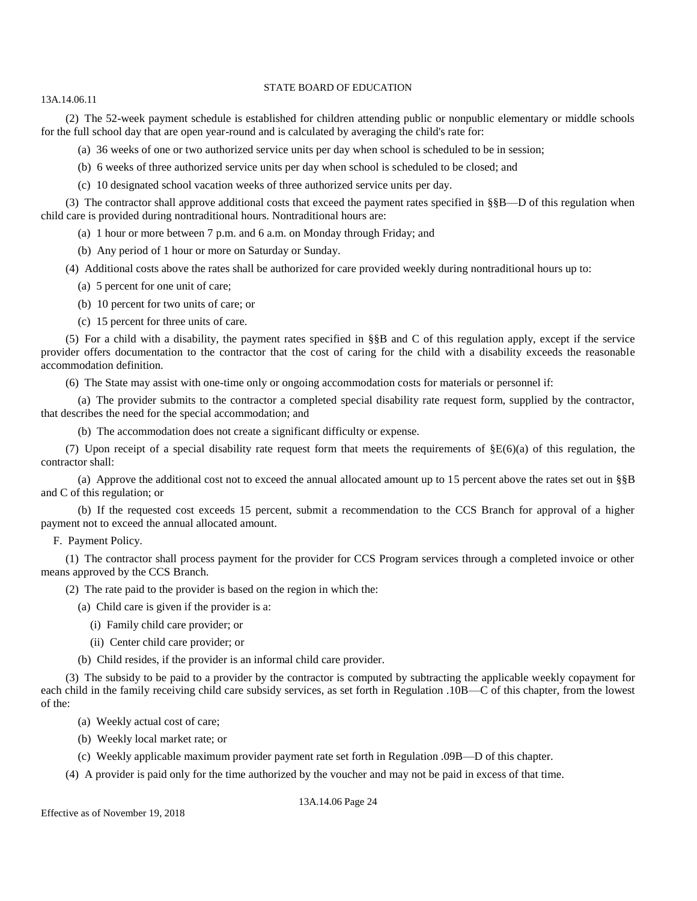13A.14.06.11

(2) The 52-week payment schedule is established for children attending public or nonpublic elementary or middle schools for the full school day that are open year-round and is calculated by averaging the child's rate for:

(a) 36 weeks of one or two authorized service units per day when school is scheduled to be in session;

- (b) 6 weeks of three authorized service units per day when school is scheduled to be closed; and
- (c) 10 designated school vacation weeks of three authorized service units per day.

(3) The contractor shall approve additional costs that exceed the payment rates specified in §§B—D of this regulation when child care is provided during nontraditional hours. Nontraditional hours are:

(a) 1 hour or more between 7 p.m. and 6 a.m. on Monday through Friday; and

(b) Any period of 1 hour or more on Saturday or Sunday.

(4) Additional costs above the rates shall be authorized for care provided weekly during nontraditional hours up to:

(a) 5 percent for one unit of care;

(b) 10 percent for two units of care; or

(c) 15 percent for three units of care.

(5) For a child with a disability, the payment rates specified in §§B and C of this regulation apply, except if the service provider offers documentation to the contractor that the cost of caring for the child with a disability exceeds the reasonable accommodation definition.

(6) The State may assist with one-time only or ongoing accommodation costs for materials or personnel if:

(a) The provider submits to the contractor a completed special disability rate request form, supplied by the contractor, that describes the need for the special accommodation; and

(b) The accommodation does not create a significant difficulty or expense.

(7) Upon receipt of a special disability rate request form that meets the requirements of  $\S E(6)(a)$  of this regulation, the contractor shall:

(a) Approve the additional cost not to exceed the annual allocated amount up to 15 percent above the rates set out in  $\S\$ and C of this regulation; or

(b) If the requested cost exceeds 15 percent, submit a recommendation to the CCS Branch for approval of a higher payment not to exceed the annual allocated amount.

F. Payment Policy.

(1) The contractor shall process payment for the provider for CCS Program services through a completed invoice or other means approved by the CCS Branch.

(2) The rate paid to the provider is based on the region in which the:

(a) Child care is given if the provider is a:

- (i) Family child care provider; or
- (ii) Center child care provider; or

(b) Child resides, if the provider is an informal child care provider.

(3) The subsidy to be paid to a provider by the contractor is computed by subtracting the applicable weekly copayment for each child in the family receiving child care subsidy services, as set forth in Regulation .10B—C of this chapter, from the lowest of the:

(a) Weekly actual cost of care;

(b) Weekly local market rate; or

(c) Weekly applicable maximum provider payment rate set forth in Regulation .09B—D of this chapter.

(4) A provider is paid only for the time authorized by the voucher and may not be paid in excess of that time.

Effective as of November 19, 2018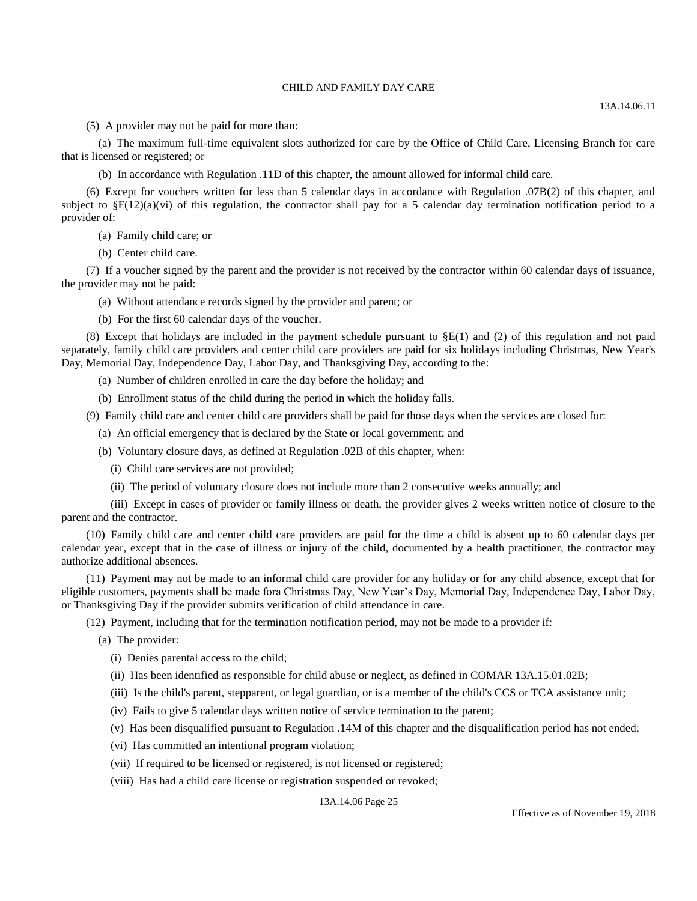(5) A provider may not be paid for more than:

(a) The maximum full-time equivalent slots authorized for care by the Office of Child Care, Licensing Branch for care that is licensed or registered; or

(b) In accordance with Regulation .11D of this chapter, the amount allowed for informal child care.

(6) Except for vouchers written for less than 5 calendar days in accordance with Regulation .07B(2) of this chapter, and subject to  $\S F(12)(a)(vi)$  of this regulation, the contractor shall pay for a 5 calendar day termination notification period to a provider of:

(a) Family child care; or

(b) Center child care.

(7) If a voucher signed by the parent and the provider is not received by the contractor within 60 calendar days of issuance, the provider may not be paid:

(a) Without attendance records signed by the provider and parent; or

(b) For the first 60 calendar days of the voucher.

(8) Except that holidays are included in the payment schedule pursuant to  $\S E(1)$  and (2) of this regulation and not paid separately, family child care providers and center child care providers are paid for six holidays including Christmas, New Year's Day, Memorial Day, Independence Day, Labor Day, and Thanksgiving Day, according to the:

- (a) Number of children enrolled in care the day before the holiday; and
- (b) Enrollment status of the child during the period in which the holiday falls.

(9) Family child care and center child care providers shall be paid for those days when the services are closed for:

- (a) An official emergency that is declared by the State or local government; and
- (b) Voluntary closure days, as defined at Regulation .02B of this chapter, when:
	- (i) Child care services are not provided;
	- (ii) The period of voluntary closure does not include more than 2 consecutive weeks annually; and

(iii) Except in cases of provider or family illness or death, the provider gives 2 weeks written notice of closure to the parent and the contractor.

(10) Family child care and center child care providers are paid for the time a child is absent up to 60 calendar days per calendar year, except that in the case of illness or injury of the child, documented by a health practitioner, the contractor may authorize additional absences.

(11) Payment may not be made to an informal child care provider for any holiday or for any child absence, except that for eligible customers, payments shall be made fora Christmas Day, New Year's Day, Memorial Day, Independence Day, Labor Day, or Thanksgiving Day if the provider submits verification of child attendance in care.

(12) Payment, including that for the termination notification period, may not be made to a provider if:

(a) The provider:

- (i) Denies parental access to the child;
- (ii) Has been identified as responsible for child abuse or neglect, as defined in COMAR 13A.15.01.02B;
- (iii) Is the child's parent, stepparent, or legal guardian, or is a member of the child's CCS or TCA assistance unit;
- (iv) Fails to give 5 calendar days written notice of service termination to the parent;
- (v) Has been disqualified pursuant to Regulation .14M of this chapter and the disqualification period has not ended;
- (vi) Has committed an intentional program violation;
- (vii) If required to be licensed or registered, is not licensed or registered;
- (viii) Has had a child care license or registration suspended or revoked;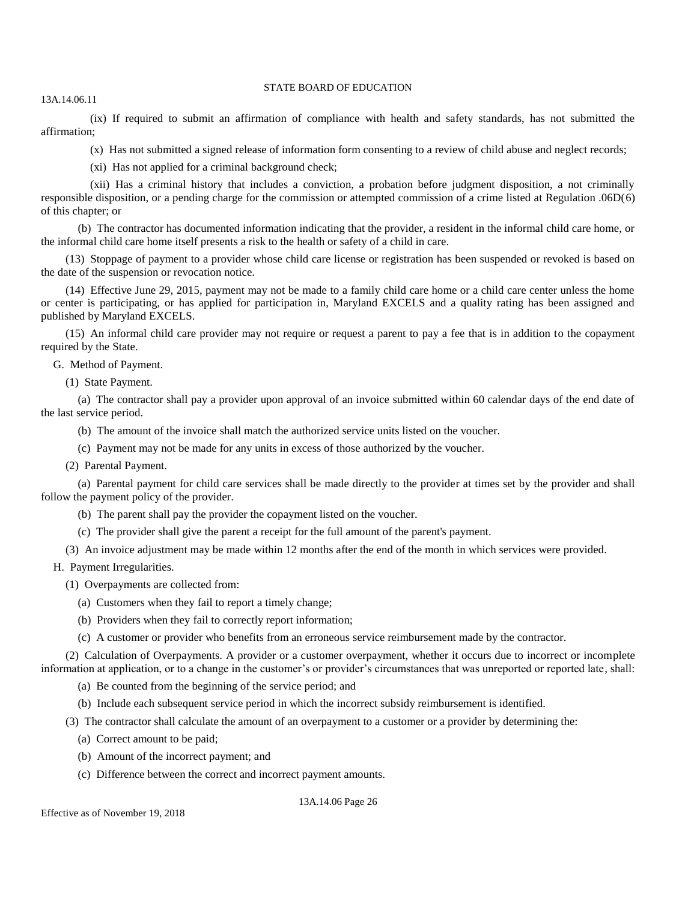13A.14.06.11

(ix) If required to submit an affirmation of compliance with health and safety standards, has not submitted the affirmation;

(x) Has not submitted a signed release of information form consenting to a review of child abuse and neglect records;

(xi) Has not applied for a criminal background check;

(xii) Has a criminal history that includes a conviction, a probation before judgment disposition, a not criminally responsible disposition, or a pending charge for the commission or attempted commission of a crime listed at Regulation .06D(6) of this chapter; or

(b) The contractor has documented information indicating that the provider, a resident in the informal child care home, or the informal child care home itself presents a risk to the health or safety of a child in care.

(13) Stoppage of payment to a provider whose child care license or registration has been suspended or revoked is based on the date of the suspension or revocation notice.

(14) Effective June 29, 2015, payment may not be made to a family child care home or a child care center unless the home or center is participating, or has applied for participation in, Maryland EXCELS and a quality rating has been assigned and published by Maryland EXCELS.

(15) An informal child care provider may not require or request a parent to pay a fee that is in addition to the copayment required by the State.

G. Method of Payment.

(1) State Payment.

(a) The contractor shall pay a provider upon approval of an invoice submitted within 60 calendar days of the end date of the last service period.

(b) The amount of the invoice shall match the authorized service units listed on the voucher.

(c) Payment may not be made for any units in excess of those authorized by the voucher.

(2) Parental Payment.

(a) Parental payment for child care services shall be made directly to the provider at times set by the provider and shall follow the payment policy of the provider.

(b) The parent shall pay the provider the copayment listed on the voucher.

(c) The provider shall give the parent a receipt for the full amount of the parent's payment.

(3) An invoice adjustment may be made within 12 months after the end of the month in which services were provided.

H. Payment Irregularities.

- (1) Overpayments are collected from:
	- (a) Customers when they fail to report a timely change;
	- (b) Providers when they fail to correctly report information;

(c) A customer or provider who benefits from an erroneous service reimbursement made by the contractor.

(2) Calculation of Overpayments. A provider or a customer overpayment, whether it occurs due to incorrect or incomplete information at application, or to a change in the customer's or provider's circumstances that was unreported or reported late, shall:

(a) Be counted from the beginning of the service period; and

(b) Include each subsequent service period in which the incorrect subsidy reimbursement is identified.

(3) The contractor shall calculate the amount of an overpayment to a customer or a provider by determining the:

- (a) Correct amount to be paid;
- (b) Amount of the incorrect payment; and
- (c) Difference between the correct and incorrect payment amounts.

13A.14.06 Page 26

Effective as of November 19, 2018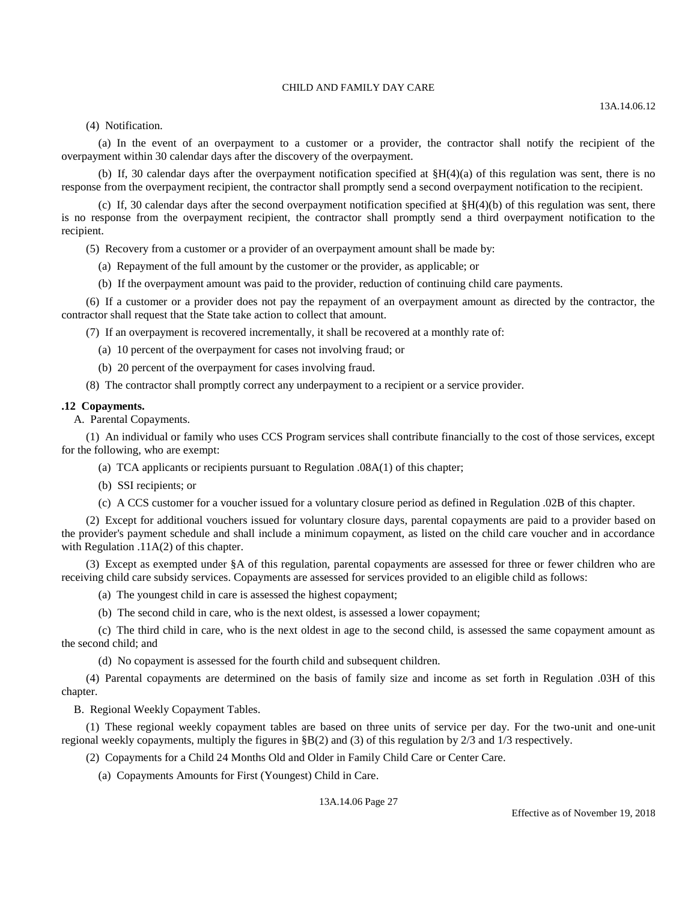(4) Notification.

(a) In the event of an overpayment to a customer or a provider, the contractor shall notify the recipient of the overpayment within 30 calendar days after the discovery of the overpayment.

(b) If, 30 calendar days after the overpayment notification specified at  $\frac{8H(4)}{a}$  of this regulation was sent, there is no response from the overpayment recipient, the contractor shall promptly send a second overpayment notification to the recipient.

(c) If, 30 calendar days after the second overpayment notification specified at  $$H(4)(b)$  of this regulation was sent, there is no response from the overpayment recipient, the contractor shall promptly send a third overpayment notification to the recipient.

(5) Recovery from a customer or a provider of an overpayment amount shall be made by:

- (a) Repayment of the full amount by the customer or the provider, as applicable; or
- (b) If the overpayment amount was paid to the provider, reduction of continuing child care payments.

(6) If a customer or a provider does not pay the repayment of an overpayment amount as directed by the contractor, the contractor shall request that the State take action to collect that amount.

(7) If an overpayment is recovered incrementally, it shall be recovered at a monthly rate of:

(a) 10 percent of the overpayment for cases not involving fraud; or

(b) 20 percent of the overpayment for cases involving fraud.

(8) The contractor shall promptly correct any underpayment to a recipient or a service provider.

#### **.12 Copayments.**

A. Parental Copayments.

(1) An individual or family who uses CCS Program services shall contribute financially to the cost of those services, except for the following, who are exempt:

- (a) TCA applicants or recipients pursuant to Regulation .08A(1) of this chapter;
- (b) SSI recipients; or
- (c) A CCS customer for a voucher issued for a voluntary closure period as defined in Regulation .02B of this chapter.

(2) Except for additional vouchers issued for voluntary closure days, parental copayments are paid to a provider based on the provider's payment schedule and shall include a minimum copayment, as listed on the child care voucher and in accordance with Regulation .11A(2) of this chapter.

(3) Except as exempted under §A of this regulation, parental copayments are assessed for three or fewer children who are receiving child care subsidy services. Copayments are assessed for services provided to an eligible child as follows:

- (a) The youngest child in care is assessed the highest copayment;
- (b) The second child in care, who is the next oldest, is assessed a lower copayment;

(c) The third child in care, who is the next oldest in age to the second child, is assessed the same copayment amount as the second child; and

(d) No copayment is assessed for the fourth child and subsequent children.

(4) Parental copayments are determined on the basis of family size and income as set forth in Regulation .03H of this chapter.

B. Regional Weekly Copayment Tables.

(1) These regional weekly copayment tables are based on three units of service per day. For the two-unit and one-unit regional weekly copayments, multiply the figures in §B(2) and (3) of this regulation by 2/3 and 1/3 respectively.

(2) Copayments for a Child 24 Months Old and Older in Family Child Care or Center Care.

(a) Copayments Amounts for First (Youngest) Child in Care.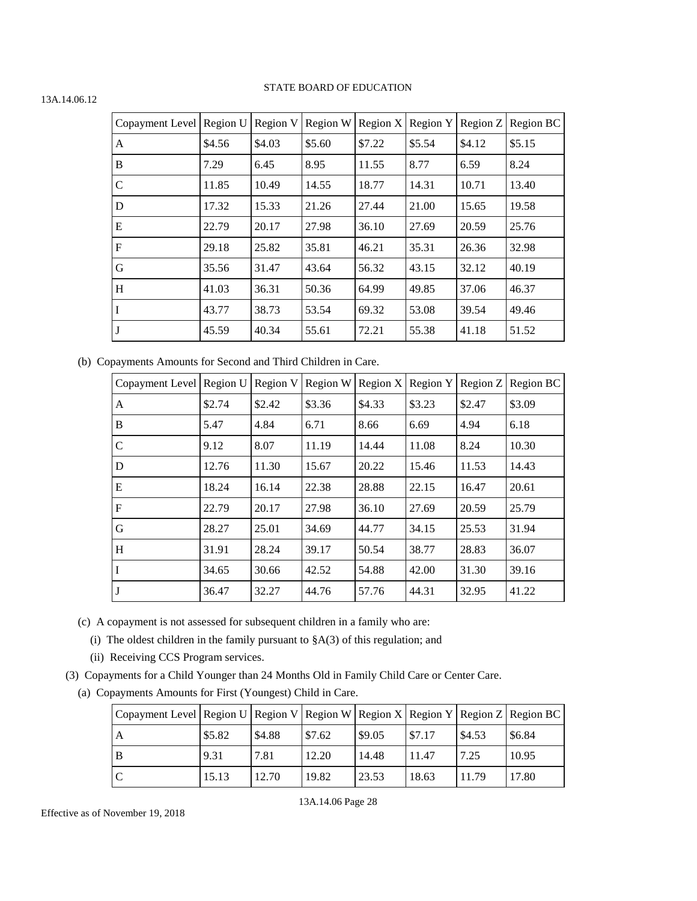| Copayment Level Region U |        | Region V | Region W | Region $X$ | Region Y | Region Z | Region BC |
|--------------------------|--------|----------|----------|------------|----------|----------|-----------|
| A                        | \$4.56 | \$4.03   | \$5.60   | \$7.22     | \$5.54   | \$4.12   | \$5.15    |
| B                        | 7.29   | 6.45     | 8.95     | 11.55      | 8.77     | 6.59     | 8.24      |
| $\mathcal{C}$            | 11.85  | 10.49    | 14.55    | 18.77      | 14.31    | 10.71    | 13.40     |
| D                        | 17.32  | 15.33    | 21.26    | 27.44      | 21.00    | 15.65    | 19.58     |
| E                        | 22.79  | 20.17    | 27.98    | 36.10      | 27.69    | 20.59    | 25.76     |
| F                        | 29.18  | 25.82    | 35.81    | 46.21      | 35.31    | 26.36    | 32.98     |
| G                        | 35.56  | 31.47    | 43.64    | 56.32      | 43.15    | 32.12    | 40.19     |
| H                        | 41.03  | 36.31    | 50.36    | 64.99      | 49.85    | 37.06    | 46.37     |
| I                        | 43.77  | 38.73    | 53.54    | 69.32      | 53.08    | 39.54    | 49.46     |
| J                        | 45.59  | 40.34    | 55.61    | 72.21      | 55.38    | 41.18    | 51.52     |

(b) Copayments Amounts for Second and Third Children in Care.

| Copayment Level | Region U | Region V | Region W | Region $X$ | Region Y | Region Z | Region BC |
|-----------------|----------|----------|----------|------------|----------|----------|-----------|
| A               | \$2.74   | \$2.42   | \$3.36   | \$4.33     | \$3.23   | \$2.47   | \$3.09    |
| B               | 5.47     | 4.84     | 6.71     | 8.66       | 6.69     | 4.94     | 6.18      |
| $\mathsf{C}$    | 9.12     | 8.07     | 11.19    | 14.44      | 11.08    | 8.24     | 10.30     |
| $\mathbf D$     | 12.76    | 11.30    | 15.67    | 20.22      | 15.46    | 11.53    | 14.43     |
| E               | 18.24    | 16.14    | 22.38    | 28.88      | 22.15    | 16.47    | 20.61     |
| $\mathbf{F}$    | 22.79    | 20.17    | 27.98    | 36.10      | 27.69    | 20.59    | 25.79     |
| G               | 28.27    | 25.01    | 34.69    | 44.77      | 34.15    | 25.53    | 31.94     |
| H               | 31.91    | 28.24    | 39.17    | 50.54      | 38.77    | 28.83    | 36.07     |
| $\vert$ I       | 34.65    | 30.66    | 42.52    | 54.88      | 42.00    | 31.30    | 39.16     |
| $\mathsf{J}$    | 36.47    | 32.27    | 44.76    | 57.76      | 44.31    | 32.95    | 41.22     |

(c) A copayment is not assessed for subsequent children in a family who are:

(i) The oldest children in the family pursuant to  $\S A(3)$  of this regulation; and

(ii) Receiving CCS Program services.

(3) Copayments for a Child Younger than 24 Months Old in Family Child Care or Center Care.

(a) Copayments Amounts for First (Youngest) Child in Care.

| Copayment Level Region U Region V Region W Region X Region Y Region Z Region BC |        |        |        |        |        |        |        |
|---------------------------------------------------------------------------------|--------|--------|--------|--------|--------|--------|--------|
| A                                                                               | \$5.82 | \$4.88 | \$7.62 | \$9.05 | \$7.17 | \$4.53 | \$6.84 |
| B                                                                               | 9.31   | 7.81   | 12.20  | 14.48  | 11.47  | 7.25   | 10.95  |
|                                                                                 | 15.13  | 12.70  | 19.82  | 23.53  | 18.63  | 11.79  | 17.80  |

## 13A.14.06 Page 28

#### 13A.14.06.12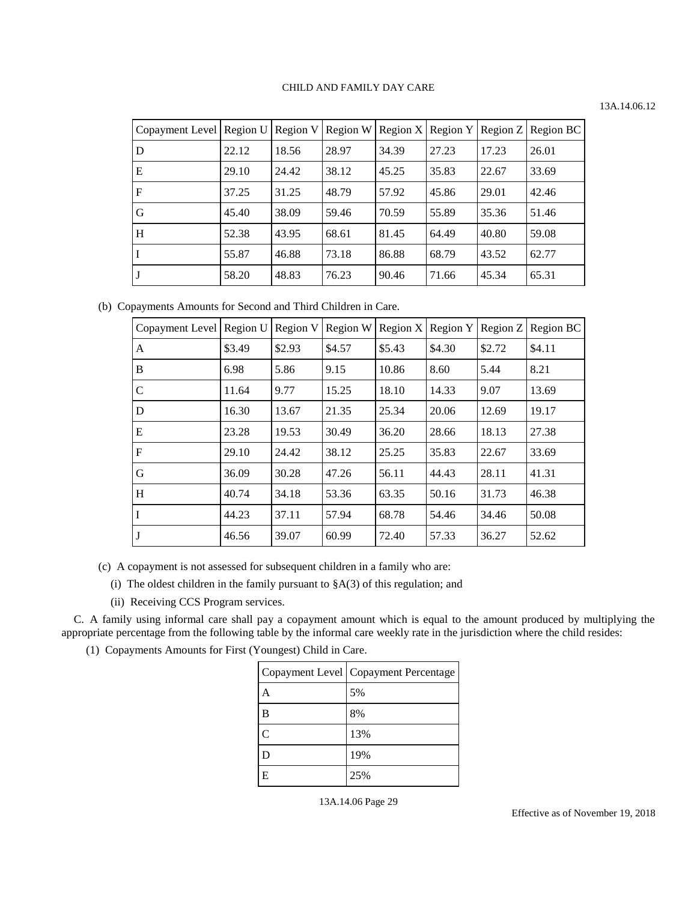# 13A.14.06.12

| Copayment Level   Region U   Region V   Region W |       |       |       |       |       |       | Region X   Region Y   Region Z   Region BC |
|--------------------------------------------------|-------|-------|-------|-------|-------|-------|--------------------------------------------|
| D                                                | 22.12 | 18.56 | 28.97 | 34.39 | 27.23 | 17.23 | 26.01                                      |
| E                                                | 29.10 | 24.42 | 38.12 | 45.25 | 35.83 | 22.67 | 33.69                                      |
| $\mathbf{F}$                                     | 37.25 | 31.25 | 48.79 | 57.92 | 45.86 | 29.01 | 42.46                                      |
| G                                                | 45.40 | 38.09 | 59.46 | 70.59 | 55.89 | 35.36 | 51.46                                      |
| IН                                               | 52.38 | 43.95 | 68.61 | 81.45 | 64.49 | 40.80 | 59.08                                      |
| l I                                              | 55.87 | 46.88 | 73.18 | 86.88 | 68.79 | 43.52 | 62.77                                      |
| IJ                                               | 58.20 | 48.83 | 76.23 | 90.46 | 71.66 | 45.34 | 65.31                                      |

(b) Copayments Amounts for Second and Third Children in Care.

| Copayment Level   Region U |        | Region V | Region W |        | Region $X$ Region $Y$ | Region Z | Region BC |
|----------------------------|--------|----------|----------|--------|-----------------------|----------|-----------|
| A                          | \$3.49 | \$2.93   | \$4.57   | \$5.43 | \$4.30                | \$2.72   | \$4.11    |
| B                          | 6.98   | 5.86     | 9.15     | 10.86  | 8.60                  | 5.44     | 8.21      |
| $\mathcal{C}$              | 11.64  | 9.77     | 15.25    | 18.10  | 14.33                 | 9.07     | 13.69     |
| D                          | 16.30  | 13.67    | 21.35    | 25.34  | 20.06                 | 12.69    | 19.17     |
| E                          | 23.28  | 19.53    | 30.49    | 36.20  | 28.66                 | 18.13    | 27.38     |
| F                          | 29.10  | 24.42    | 38.12    | 25.25  | 35.83                 | 22.67    | 33.69     |
| G                          | 36.09  | 30.28    | 47.26    | 56.11  | 44.43                 | 28.11    | 41.31     |
| H                          | 40.74  | 34.18    | 53.36    | 63.35  | 50.16                 | 31.73    | 46.38     |
| I                          | 44.23  | 37.11    | 57.94    | 68.78  | 54.46                 | 34.46    | 50.08     |
| J                          | 46.56  | 39.07    | 60.99    | 72.40  | 57.33                 | 36.27    | 52.62     |

(c) A copayment is not assessed for subsequent children in a family who are:

(i) The oldest children in the family pursuant to  $(A(3))$  of this regulation; and

(ii) Receiving CCS Program services.

C. A family using informal care shall pay a copayment amount which is equal to the amount produced by multiplying the appropriate percentage from the following table by the informal care weekly rate in the jurisdiction where the child resides:

(1) Copayments Amounts for First (Youngest) Child in Care.

|                | Copayment Level   Copayment Percentage |
|----------------|----------------------------------------|
|                | 5%                                     |
| B              | 8%                                     |
| $\overline{C}$ | 13%                                    |
|                | 19%                                    |
| E              | 25%                                    |

<sup>13</sup>A.14.06 Page 29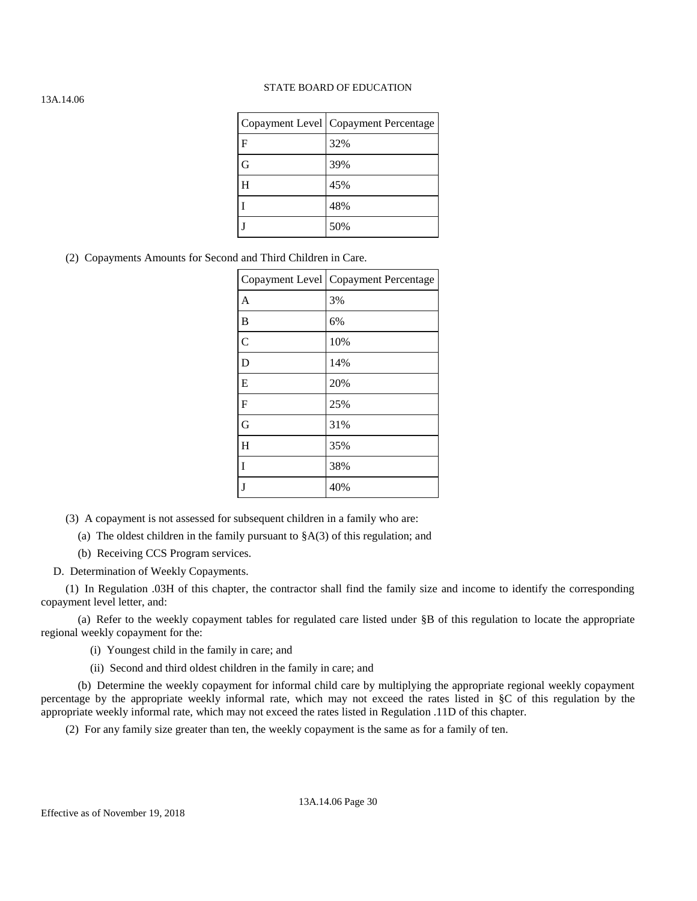|   | Copayment Level   Copayment Percentage |
|---|----------------------------------------|
| F | 32%                                    |
| G | 39%                                    |
| H | 45%                                    |
|   | 48%                                    |
|   | 50%                                    |

## (2) Copayments Amounts for Second and Third Children in Care.

|                | Copayment Level   Copayment Percentage |
|----------------|----------------------------------------|
| A              | 3%                                     |
| B              | 6%                                     |
| $\overline{C}$ | 10%                                    |
| D              | 14%                                    |
| E              | 20%                                    |
| F              | 25%                                    |
| G              | 31%                                    |
| H              | 35%                                    |
| Ī              | 38%                                    |
| I              | 40%                                    |

(3) A copayment is not assessed for subsequent children in a family who are:

(a) The oldest children in the family pursuant to  $(A(3))$  of this regulation; and

(b) Receiving CCS Program services.

D. Determination of Weekly Copayments.

(1) In Regulation .03H of this chapter, the contractor shall find the family size and income to identify the corresponding copayment level letter, and:

(a) Refer to the weekly copayment tables for regulated care listed under §B of this regulation to locate the appropriate regional weekly copayment for the:

(i) Youngest child in the family in care; and

(ii) Second and third oldest children in the family in care; and

(b) Determine the weekly copayment for informal child care by multiplying the appropriate regional weekly copayment percentage by the appropriate weekly informal rate, which may not exceed the rates listed in §C of this regulation by the appropriate weekly informal rate, which may not exceed the rates listed in Regulation .11D of this chapter.

(2) For any family size greater than ten, the weekly copayment is the same as for a family of ten.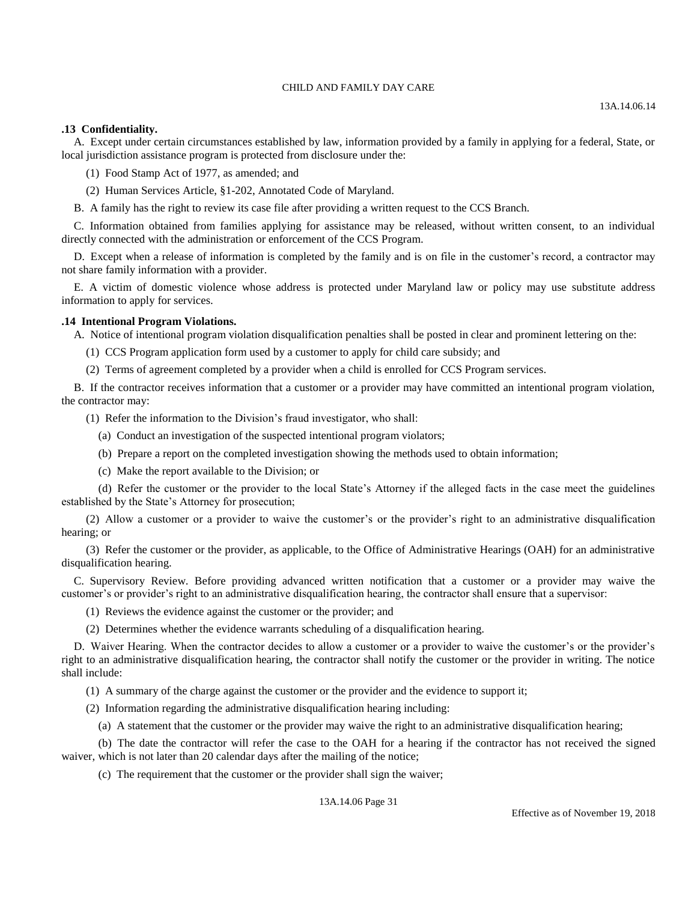### **.13 Confidentiality.**

A. Except under certain circumstances established by law, information provided by a family in applying for a federal, State, or local jurisdiction assistance program is protected from disclosure under the:

(1) Food Stamp Act of 1977, as amended; and

(2) Human Services Article, §1-202, Annotated Code of Maryland.

B. A family has the right to review its case file after providing a written request to the CCS Branch.

C. Information obtained from families applying for assistance may be released, without written consent, to an individual directly connected with the administration or enforcement of the CCS Program.

D. Except when a release of information is completed by the family and is on file in the customer's record, a contractor may not share family information with a provider.

E. A victim of domestic violence whose address is protected under Maryland law or policy may use substitute address information to apply for services.

### **.14 Intentional Program Violations.**

A. Notice of intentional program violation disqualification penalties shall be posted in clear and prominent lettering on the:

(1) CCS Program application form used by a customer to apply for child care subsidy; and

(2) Terms of agreement completed by a provider when a child is enrolled for CCS Program services.

B. If the contractor receives information that a customer or a provider may have committed an intentional program violation, the contractor may:

(1) Refer the information to the Division's fraud investigator, who shall:

(a) Conduct an investigation of the suspected intentional program violators;

- (b) Prepare a report on the completed investigation showing the methods used to obtain information;
- (c) Make the report available to the Division; or

(d) Refer the customer or the provider to the local State's Attorney if the alleged facts in the case meet the guidelines established by the State's Attorney for prosecution;

(2) Allow a customer or a provider to waive the customer's or the provider's right to an administrative disqualification hearing; or

(3) Refer the customer or the provider, as applicable, to the Office of Administrative Hearings (OAH) for an administrative disqualification hearing.

C. Supervisory Review. Before providing advanced written notification that a customer or a provider may waive the customer's or provider's right to an administrative disqualification hearing, the contractor shall ensure that a supervisor:

(1) Reviews the evidence against the customer or the provider; and

(2) Determines whether the evidence warrants scheduling of a disqualification hearing.

D. Waiver Hearing. When the contractor decides to allow a customer or a provider to waive the customer's or the provider's right to an administrative disqualification hearing, the contractor shall notify the customer or the provider in writing. The notice shall include:

(1) A summary of the charge against the customer or the provider and the evidence to support it;

(2) Information regarding the administrative disqualification hearing including:

(a) A statement that the customer or the provider may waive the right to an administrative disqualification hearing;

(b) The date the contractor will refer the case to the OAH for a hearing if the contractor has not received the signed waiver, which is not later than 20 calendar days after the mailing of the notice;

(c) The requirement that the customer or the provider shall sign the waiver;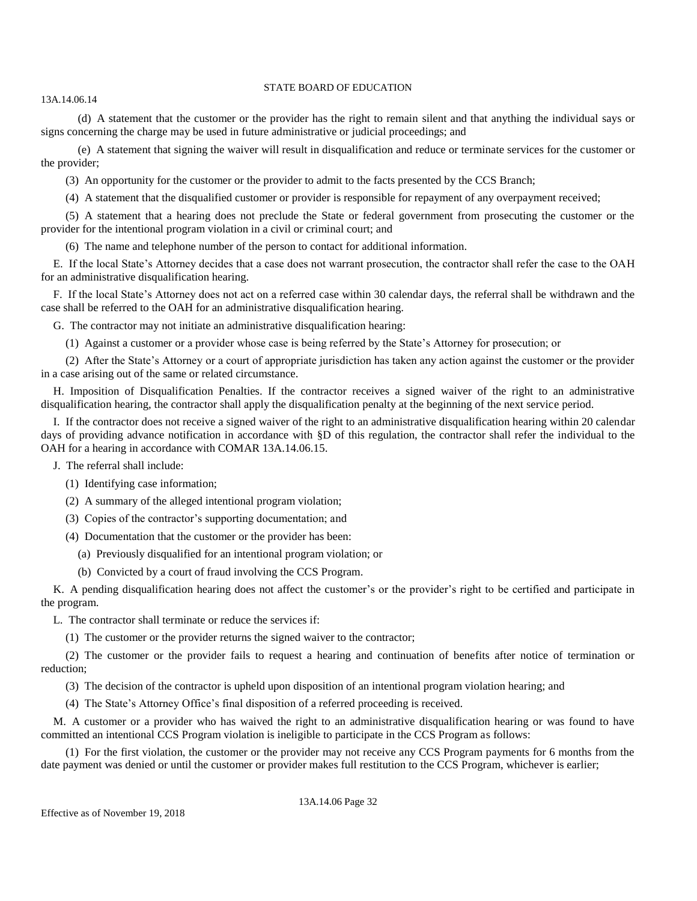#### 13A.14.06.14

(d) A statement that the customer or the provider has the right to remain silent and that anything the individual says or signs concerning the charge may be used in future administrative or judicial proceedings; and

(e) A statement that signing the waiver will result in disqualification and reduce or terminate services for the customer or the provider;

(3) An opportunity for the customer or the provider to admit to the facts presented by the CCS Branch;

(4) A statement that the disqualified customer or provider is responsible for repayment of any overpayment received;

(5) A statement that a hearing does not preclude the State or federal government from prosecuting the customer or the provider for the intentional program violation in a civil or criminal court; and

(6) The name and telephone number of the person to contact for additional information.

E. If the local State's Attorney decides that a case does not warrant prosecution, the contractor shall refer the case to the OAH for an administrative disqualification hearing.

F. If the local State's Attorney does not act on a referred case within 30 calendar days, the referral shall be withdrawn and the case shall be referred to the OAH for an administrative disqualification hearing.

G. The contractor may not initiate an administrative disqualification hearing:

(1) Against a customer or a provider whose case is being referred by the State's Attorney for prosecution; or

(2) After the State's Attorney or a court of appropriate jurisdiction has taken any action against the customer or the provider in a case arising out of the same or related circumstance.

H. Imposition of Disqualification Penalties. If the contractor receives a signed waiver of the right to an administrative disqualification hearing, the contractor shall apply the disqualification penalty at the beginning of the next service period.

I. If the contractor does not receive a signed waiver of the right to an administrative disqualification hearing within 20 calendar days of providing advance notification in accordance with §D of this regulation, the contractor shall refer the individual to the OAH for a hearing in accordance with COMAR 13A.14.06.15.

J. The referral shall include:

(1) Identifying case information;

(2) A summary of the alleged intentional program violation;

(3) Copies of the contractor's supporting documentation; and

(4) Documentation that the customer or the provider has been:

(a) Previously disqualified for an intentional program violation; or

(b) Convicted by a court of fraud involving the CCS Program.

K. A pending disqualification hearing does not affect the customer's or the provider's right to be certified and participate in the program.

L. The contractor shall terminate or reduce the services if:

(1) The customer or the provider returns the signed waiver to the contractor;

(2) The customer or the provider fails to request a hearing and continuation of benefits after notice of termination or reduction;

(3) The decision of the contractor is upheld upon disposition of an intentional program violation hearing; and

(4) The State's Attorney Office's final disposition of a referred proceeding is received.

M. A customer or a provider who has waived the right to an administrative disqualification hearing or was found to have committed an intentional CCS Program violation is ineligible to participate in the CCS Program as follows:

(1) For the first violation, the customer or the provider may not receive any CCS Program payments for 6 months from the date payment was denied or until the customer or provider makes full restitution to the CCS Program, whichever is earlier;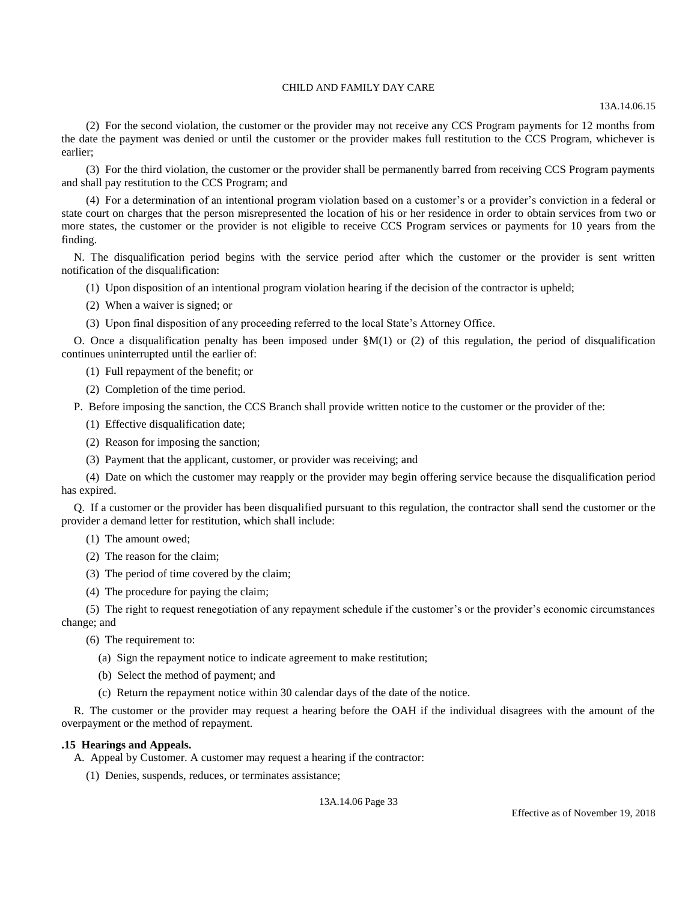13A.14.06.15

(2) For the second violation, the customer or the provider may not receive any CCS Program payments for 12 months from the date the payment was denied or until the customer or the provider makes full restitution to the CCS Program, whichever is earlier;

(3) For the third violation, the customer or the provider shall be permanently barred from receiving CCS Program payments and shall pay restitution to the CCS Program; and

(4) For a determination of an intentional program violation based on a customer's or a provider's conviction in a federal or state court on charges that the person misrepresented the location of his or her residence in order to obtain services from two or more states, the customer or the provider is not eligible to receive CCS Program services or payments for 10 years from the finding.

N. The disqualification period begins with the service period after which the customer or the provider is sent written notification of the disqualification:

(1) Upon disposition of an intentional program violation hearing if the decision of the contractor is upheld;

(2) When a waiver is signed; or

(3) Upon final disposition of any proceeding referred to the local State's Attorney Office.

O. Once a disqualification penalty has been imposed under  $M(1)$  or (2) of this regulation, the period of disqualification continues uninterrupted until the earlier of:

(1) Full repayment of the benefit; or

(2) Completion of the time period.

P. Before imposing the sanction, the CCS Branch shall provide written notice to the customer or the provider of the:

(1) Effective disqualification date;

(2) Reason for imposing the sanction;

(3) Payment that the applicant, customer, or provider was receiving; and

(4) Date on which the customer may reapply or the provider may begin offering service because the disqualification period has expired.

Q. If a customer or the provider has been disqualified pursuant to this regulation, the contractor shall send the customer or the provider a demand letter for restitution, which shall include:

- (1) The amount owed;
- (2) The reason for the claim;
- (3) The period of time covered by the claim;
- (4) The procedure for paying the claim;

(5) The right to request renegotiation of any repayment schedule if the customer's or the provider's economic circumstances change; and

(6) The requirement to:

- (a) Sign the repayment notice to indicate agreement to make restitution;
- (b) Select the method of payment; and
- (c) Return the repayment notice within 30 calendar days of the date of the notice.

R. The customer or the provider may request a hearing before the OAH if the individual disagrees with the amount of the overpayment or the method of repayment.

### **.15 Hearings and Appeals.**

A. Appeal by Customer. A customer may request a hearing if the contractor:

(1) Denies, suspends, reduces, or terminates assistance;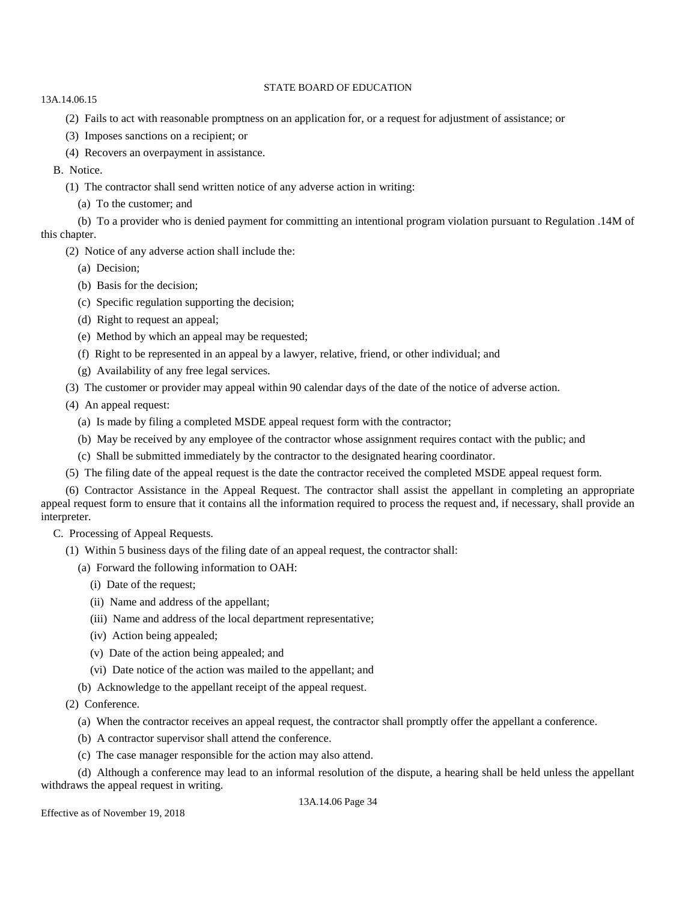- 13A.14.06.15
	- (2) Fails to act with reasonable promptness on an application for, or a request for adjustment of assistance; or
	- (3) Imposes sanctions on a recipient; or
	- (4) Recovers an overpayment in assistance.
	- B. Notice.
		- (1) The contractor shall send written notice of any adverse action in writing:
			- (a) To the customer; and

(b) To a provider who is denied payment for committing an intentional program violation pursuant to Regulation .14M of this chapter.

- (2) Notice of any adverse action shall include the:
	- (a) Decision;
	- (b) Basis for the decision;
	- (c) Specific regulation supporting the decision;
	- (d) Right to request an appeal;
	- (e) Method by which an appeal may be requested;
	- (f) Right to be represented in an appeal by a lawyer, relative, friend, or other individual; and
	- (g) Availability of any free legal services.
- (3) The customer or provider may appeal within 90 calendar days of the date of the notice of adverse action.
- (4) An appeal request:
	- (a) Is made by filing a completed MSDE appeal request form with the contractor;
	- (b) May be received by any employee of the contractor whose assignment requires contact with the public; and
	- (c) Shall be submitted immediately by the contractor to the designated hearing coordinator.
- (5) The filing date of the appeal request is the date the contractor received the completed MSDE appeal request form.

(6) Contractor Assistance in the Appeal Request. The contractor shall assist the appellant in completing an appropriate appeal request form to ensure that it contains all the information required to process the request and, if necessary, shall provide an interpreter.

- C. Processing of Appeal Requests.
	- (1) Within 5 business days of the filing date of an appeal request, the contractor shall:
		- (a) Forward the following information to OAH:
			- (i) Date of the request;
			- (ii) Name and address of the appellant;
			- (iii) Name and address of the local department representative;
			- (iv) Action being appealed;
			- (v) Date of the action being appealed; and
			- (vi) Date notice of the action was mailed to the appellant; and
		- (b) Acknowledge to the appellant receipt of the appeal request.

(2) Conference.

- (a) When the contractor receives an appeal request, the contractor shall promptly offer the appellant a conference.
- (b) A contractor supervisor shall attend the conference.
- (c) The case manager responsible for the action may also attend.

(d) Although a conference may lead to an informal resolution of the dispute, a hearing shall be held unless the appellant withdraws the appeal request in writing.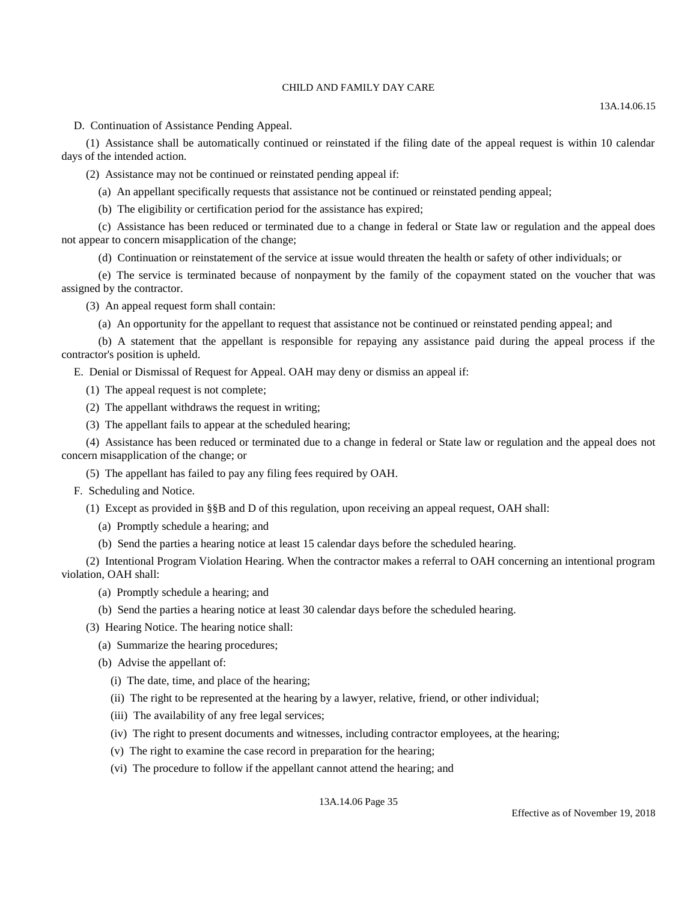D. Continuation of Assistance Pending Appeal.

(1) Assistance shall be automatically continued or reinstated if the filing date of the appeal request is within 10 calendar days of the intended action.

(2) Assistance may not be continued or reinstated pending appeal if:

(a) An appellant specifically requests that assistance not be continued or reinstated pending appeal;

(b) The eligibility or certification period for the assistance has expired;

(c) Assistance has been reduced or terminated due to a change in federal or State law or regulation and the appeal does not appear to concern misapplication of the change;

(d) Continuation or reinstatement of the service at issue would threaten the health or safety of other individuals; or

(e) The service is terminated because of nonpayment by the family of the copayment stated on the voucher that was assigned by the contractor.

(3) An appeal request form shall contain:

(a) An opportunity for the appellant to request that assistance not be continued or reinstated pending appeal; and

(b) A statement that the appellant is responsible for repaying any assistance paid during the appeal process if the contractor's position is upheld.

E. Denial or Dismissal of Request for Appeal. OAH may deny or dismiss an appeal if:

(1) The appeal request is not complete;

(2) The appellant withdraws the request in writing;

(3) The appellant fails to appear at the scheduled hearing;

(4) Assistance has been reduced or terminated due to a change in federal or State law or regulation and the appeal does not concern misapplication of the change; or

(5) The appellant has failed to pay any filing fees required by OAH.

F. Scheduling and Notice.

(1) Except as provided in §§B and D of this regulation, upon receiving an appeal request, OAH shall:

(a) Promptly schedule a hearing; and

(b) Send the parties a hearing notice at least 15 calendar days before the scheduled hearing.

(2) Intentional Program Violation Hearing. When the contractor makes a referral to OAH concerning an intentional program violation, OAH shall:

(a) Promptly schedule a hearing; and

(b) Send the parties a hearing notice at least 30 calendar days before the scheduled hearing.

(3) Hearing Notice. The hearing notice shall:

(a) Summarize the hearing procedures;

(b) Advise the appellant of:

(i) The date, time, and place of the hearing;

(ii) The right to be represented at the hearing by a lawyer, relative, friend, or other individual;

(iii) The availability of any free legal services;

(iv) The right to present documents and witnesses, including contractor employees, at the hearing;

(v) The right to examine the case record in preparation for the hearing;

(vi) The procedure to follow if the appellant cannot attend the hearing; and

13A.14.06 Page 35

Effective as of November 19, 2018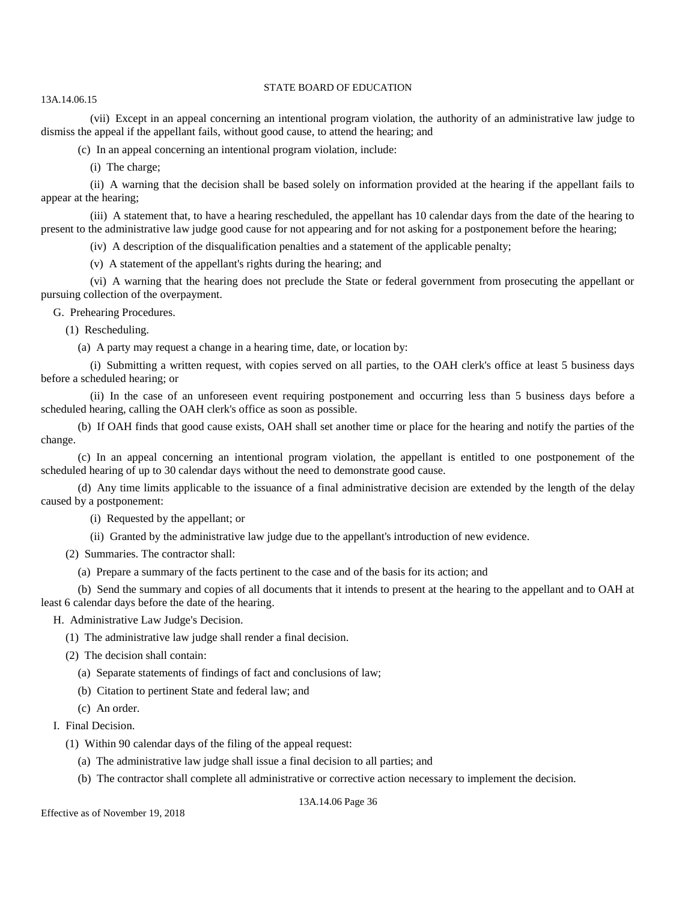(vii) Except in an appeal concerning an intentional program violation, the authority of an administrative law judge to dismiss the appeal if the appellant fails, without good cause, to attend the hearing; and

(c) In an appeal concerning an intentional program violation, include:

(i) The charge;

13A.14.06.15

(ii) A warning that the decision shall be based solely on information provided at the hearing if the appellant fails to appear at the hearing;

(iii) A statement that, to have a hearing rescheduled, the appellant has 10 calendar days from the date of the hearing to present to the administrative law judge good cause for not appearing and for not asking for a postponement before the hearing;

(iv) A description of the disqualification penalties and a statement of the applicable penalty;

(v) A statement of the appellant's rights during the hearing; and

(vi) A warning that the hearing does not preclude the State or federal government from prosecuting the appellant or pursuing collection of the overpayment.

G. Prehearing Procedures.

(1) Rescheduling.

(a) A party may request a change in a hearing time, date, or location by:

(i) Submitting a written request, with copies served on all parties, to the OAH clerk's office at least 5 business days before a scheduled hearing; or

(ii) In the case of an unforeseen event requiring postponement and occurring less than 5 business days before a scheduled hearing, calling the OAH clerk's office as soon as possible.

(b) If OAH finds that good cause exists, OAH shall set another time or place for the hearing and notify the parties of the change.

(c) In an appeal concerning an intentional program violation, the appellant is entitled to one postponement of the scheduled hearing of up to 30 calendar days without the need to demonstrate good cause.

(d) Any time limits applicable to the issuance of a final administrative decision are extended by the length of the delay caused by a postponement:

(i) Requested by the appellant; or

(ii) Granted by the administrative law judge due to the appellant's introduction of new evidence.

(2) Summaries. The contractor shall:

(a) Prepare a summary of the facts pertinent to the case and of the basis for its action; and

(b) Send the summary and copies of all documents that it intends to present at the hearing to the appellant and to OAH at least 6 calendar days before the date of the hearing.

### H. Administrative Law Judge's Decision.

(1) The administrative law judge shall render a final decision.

(2) The decision shall contain:

(a) Separate statements of findings of fact and conclusions of law;

(b) Citation to pertinent State and federal law; and

(c) An order.

I. Final Decision.

- (1) Within 90 calendar days of the filing of the appeal request:
	- (a) The administrative law judge shall issue a final decision to all parties; and

(b) The contractor shall complete all administrative or corrective action necessary to implement the decision.

13A.14.06 Page 36

Effective as of November 19, 2018